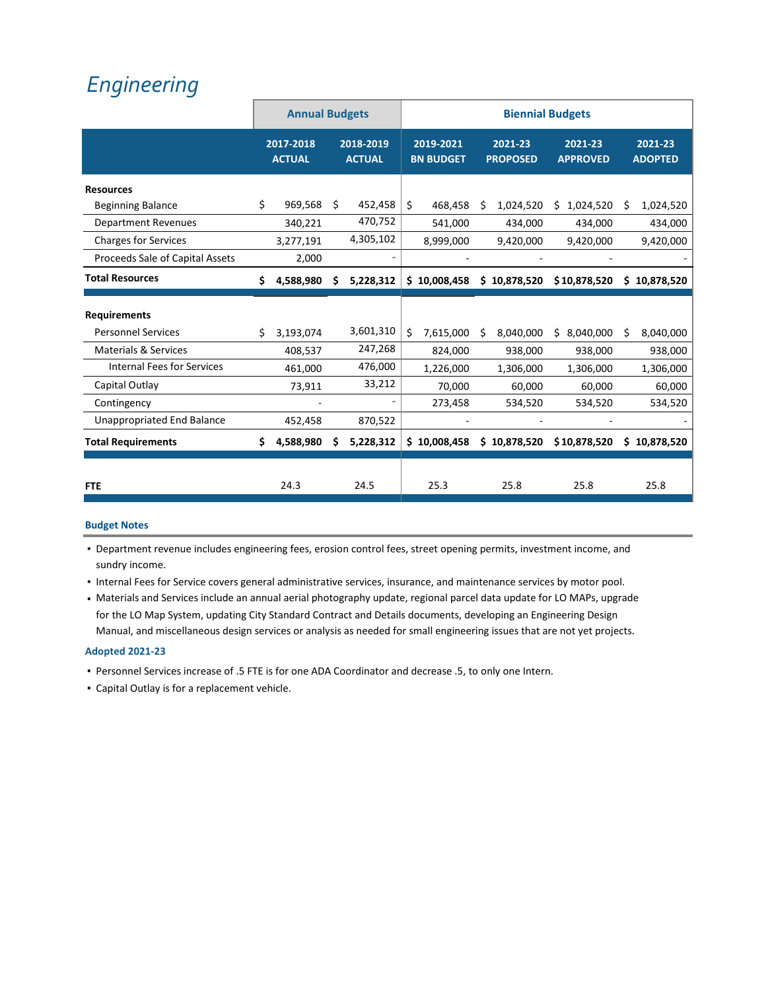# *[Engineering](https://www.ci.oswego.or.us/engineering/about-us)*

|                                   |    | <b>Annual Budgets</b>      |    |                            | <b>Biennial Budgets</b> |                               |    |                            |                            |    |                           |
|-----------------------------------|----|----------------------------|----|----------------------------|-------------------------|-------------------------------|----|----------------------------|----------------------------|----|---------------------------|
|                                   |    | 2017-2018<br><b>ACTUAL</b> |    | 2018-2019<br><b>ACTUAL</b> |                         | 2019-2021<br><b>BN BUDGET</b> |    | 2021-23<br><b>PROPOSED</b> | 2021-23<br><b>APPROVED</b> |    | 2021-23<br><b>ADOPTED</b> |
| <b>Resources</b>                  |    |                            |    |                            |                         |                               |    |                            |                            |    |                           |
| <b>Beginning Balance</b>          | \$ | 969,568                    | Ś. | 452,458                    | \$                      | 468,458                       | Ś. | 1,024,520                  | \$.<br>1,024,520           | Ś. | 1,024,520                 |
| <b>Department Revenues</b>        |    | 340,221                    |    | 470,752                    |                         | 541,000                       |    | 434,000                    | 434,000                    |    | 434,000                   |
| <b>Charges for Services</b>       |    | 3,277,191                  |    | 4,305,102                  |                         | 8,999,000                     |    | 9,420,000                  | 9,420,000                  |    | 9,420,000                 |
| Proceeds Sale of Capital Assets   |    | 2,000                      |    |                            |                         |                               |    |                            |                            |    |                           |
| <b>Total Resources</b>            | Ś. | 4,588,980                  | S  | 5,228,312                  |                         | \$10,008,458                  |    | \$10,878,520               | \$10,878,520               |    | \$10,878,520              |
| <b>Requirements</b>               |    |                            |    |                            |                         |                               |    |                            |                            |    |                           |
| <b>Personnel Services</b>         | Ś. | 3,193,074                  |    | 3,601,310                  | Ś.                      | 7,615,000                     | S  | 8,040,000                  | 8,040,000<br>S.            | Ś  | 8,040,000                 |
| <b>Materials &amp; Services</b>   |    | 408,537                    |    | 247,268                    |                         | 824,000                       |    | 938,000                    | 938,000                    |    | 938,000                   |
| <b>Internal Fees for Services</b> |    | 461,000                    |    | 476,000                    |                         | 1,226,000                     |    | 1,306,000                  | 1,306,000                  |    | 1,306,000                 |
| Capital Outlay                    |    | 73,911                     |    | 33,212                     |                         | 70,000                        |    | 60,000                     | 60,000                     |    | 60,000                    |
| Contingency                       |    |                            |    |                            |                         | 273,458                       |    | 534,520                    | 534,520                    |    | 534,520                   |
| <b>Unappropriated End Balance</b> |    | 452,458                    |    | 870,522                    |                         |                               |    |                            |                            |    |                           |
| <b>Total Requirements</b>         | S  | 4,588,980                  | S  | 5,228,312                  |                         | \$10,008,458                  |    | \$10,878,520               | \$10,878,520               |    | \$10,878,520              |
|                                   |    |                            |    |                            |                         |                               |    |                            |                            |    |                           |
| <b>FTE</b>                        |    | 24.3                       |    | 24.5                       |                         | 25.3                          |    | 25.8                       | 25.8                       |    | 25.8                      |

#### **Budget Notes**

- Department revenue includes engineering fees, erosion control fees, street opening permits, investment income, and sundry income.
- Internal Fees for Service covers general administrative services, insurance, and maintenance services by motor pool.
- Materials and Services include an annual aerial photography update, regional parcel data update for LO MAPs, upgrade for the LO Map System, updating City Standard Contract and Details documents, developing an Engineering Design Manual, and miscellaneous design services or analysis as needed for small engineering issues that are not yet projects.

#### **Adopted 2021‐23**

- Personnel Services increase of .5 FTE is for one ADA Coordinator and decrease .5, to only one Intern.
- **EXEC** Capital Outlay is for a replacement vehicle.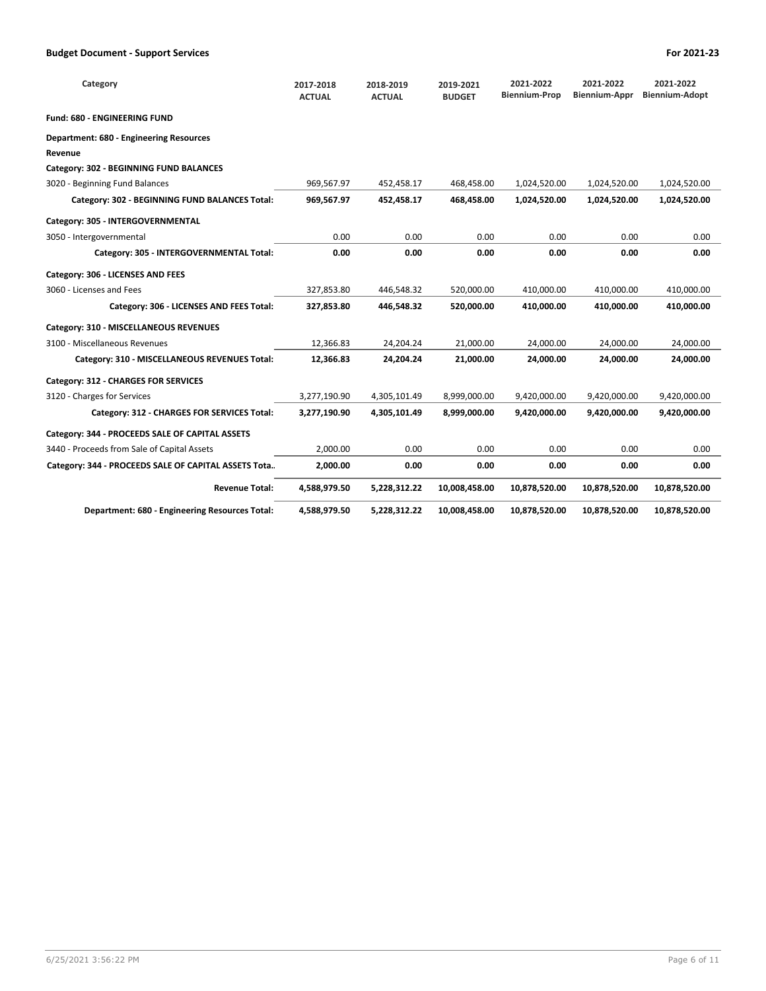| Category                                             | 2017-2018<br><b>ACTUAL</b> | 2018-2019<br><b>ACTUAL</b> | 2019-2021<br><b>BUDGET</b> | 2021-2022<br><b>Biennium-Prop</b> | 2021-2022<br><b>Biennium-Appr</b> | 2021-2022<br><b>Biennium-Adopt</b> |
|------------------------------------------------------|----------------------------|----------------------------|----------------------------|-----------------------------------|-----------------------------------|------------------------------------|
| Fund: 680 - ENGINEERING FUND                         |                            |                            |                            |                                   |                                   |                                    |
| Department: 680 - Engineering Resources              |                            |                            |                            |                                   |                                   |                                    |
| Revenue                                              |                            |                            |                            |                                   |                                   |                                    |
| Category: 302 - BEGINNING FUND BALANCES              |                            |                            |                            |                                   |                                   |                                    |
| 3020 - Beginning Fund Balances                       | 969,567.97                 | 452,458.17                 | 468,458.00                 | 1,024,520.00                      | 1,024,520.00                      | 1,024,520.00                       |
| Category: 302 - BEGINNING FUND BALANCES Total:       | 969,567.97                 | 452,458.17                 | 468,458.00                 | 1,024,520.00                      | 1,024,520.00                      | 1,024,520.00                       |
| Category: 305 - INTERGOVERNMENTAL                    |                            |                            |                            |                                   |                                   |                                    |
| 3050 - Intergovernmental                             | 0.00                       | 0.00                       | 0.00                       | 0.00                              | 0.00                              | 0.00                               |
| Category: 305 - INTERGOVERNMENTAL Total:             | 0.00                       | 0.00                       | 0.00                       | 0.00                              | 0.00                              | 0.00                               |
| Category: 306 - LICENSES AND FEES                    |                            |                            |                            |                                   |                                   |                                    |
| 3060 - Licenses and Fees                             | 327,853.80                 | 446,548.32                 | 520,000.00                 | 410,000.00                        | 410,000.00                        | 410,000.00                         |
| Category: 306 - LICENSES AND FEES Total:             | 327,853.80                 | 446.548.32                 | 520.000.00                 | 410.000.00                        | 410.000.00                        | 410,000.00                         |
| Category: 310 - MISCELLANEOUS REVENUES               |                            |                            |                            |                                   |                                   |                                    |
| 3100 - Miscellaneous Revenues                        | 12,366.83                  | 24,204.24                  | 21,000.00                  | 24,000.00                         | 24,000.00                         | 24,000.00                          |
| Category: 310 - MISCELLANEOUS REVENUES Total:        | 12,366.83                  | 24,204.24                  | 21,000.00                  | 24,000.00                         | 24,000.00                         | 24,000.00                          |
| Category: 312 - CHARGES FOR SERVICES                 |                            |                            |                            |                                   |                                   |                                    |
| 3120 - Charges for Services                          | 3,277,190.90               | 4,305,101.49               | 8,999,000.00               | 9,420,000.00                      | 9,420,000.00                      | 9,420,000.00                       |
| Category: 312 - CHARGES FOR SERVICES Total:          | 3,277,190.90               | 4,305,101.49               | 8,999,000.00               | 9,420,000.00                      | 9,420,000.00                      | 9,420,000.00                       |
| Category: 344 - PROCEEDS SALE OF CAPITAL ASSETS      |                            |                            |                            |                                   |                                   |                                    |
| 3440 - Proceeds from Sale of Capital Assets          | 2,000.00                   | 0.00                       | 0.00                       | 0.00                              | 0.00                              | 0.00                               |
| Category: 344 - PROCEEDS SALE OF CAPITAL ASSETS Tota | 2,000.00                   | 0.00                       | 0.00                       | 0.00                              | 0.00                              | 0.00                               |
| <b>Revenue Total:</b>                                | 4,588,979.50               | 5,228,312.22               | 10,008,458.00              | 10,878,520.00                     | 10,878,520.00                     | 10,878,520.00                      |
| Department: 680 - Engineering Resources Total:       | 4,588,979.50               | 5.228.312.22               | 10,008,458.00              | 10,878,520.00                     | 10,878,520.00                     | 10,878,520.00                      |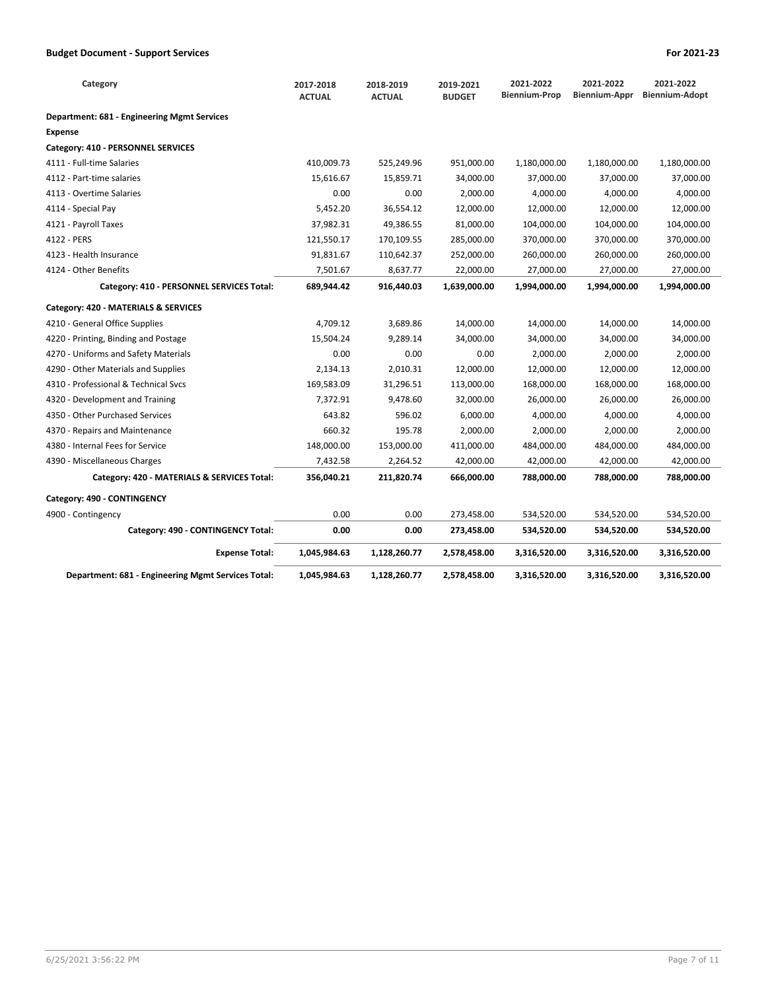| Category                                           | 2017-2018<br><b>ACTUAL</b> | 2018-2019<br><b>ACTUAL</b> | 2019-2021<br><b>BUDGET</b> | 2021-2022<br><b>Biennium-Prop</b> | 2021-2022<br>Biennium-Appr | 2021-2022<br><b>Biennium-Adopt</b> |
|----------------------------------------------------|----------------------------|----------------------------|----------------------------|-----------------------------------|----------------------------|------------------------------------|
| Department: 681 - Engineering Mgmt Services        |                            |                            |                            |                                   |                            |                                    |
| <b>Expense</b>                                     |                            |                            |                            |                                   |                            |                                    |
| Category: 410 - PERSONNEL SERVICES                 |                            |                            |                            |                                   |                            |                                    |
| 4111 - Full-time Salaries                          | 410,009.73                 | 525,249.96                 | 951,000.00                 | 1,180,000.00                      | 1,180,000.00               | 1,180,000.00                       |
| 4112 - Part-time salaries                          | 15.616.67                  | 15,859.71                  | 34,000.00                  | 37,000.00                         | 37,000.00                  | 37,000.00                          |
| 4113 - Overtime Salaries                           | 0.00                       | 0.00                       | 2,000.00                   | 4,000.00                          | 4,000.00                   | 4,000.00                           |
| 4114 - Special Pay                                 | 5,452.20                   | 36,554.12                  | 12,000.00                  | 12,000.00                         | 12,000.00                  | 12,000.00                          |
| 4121 - Payroll Taxes                               | 37,982.31                  | 49,386.55                  | 81,000.00                  | 104,000.00                        | 104,000.00                 | 104,000.00                         |
| 4122 - PERS                                        | 121,550.17                 | 170,109.55                 | 285,000.00                 | 370,000.00                        | 370,000.00                 | 370,000.00                         |
| 4123 - Health Insurance                            | 91,831.67                  | 110,642.37                 | 252,000.00                 | 260,000.00                        | 260,000.00                 | 260,000.00                         |
| 4124 - Other Benefits                              | 7,501.67                   | 8,637.77                   | 22,000.00                  | 27,000.00                         | 27,000.00                  | 27,000.00                          |
| Category: 410 - PERSONNEL SERVICES Total:          | 689,944.42                 | 916,440.03                 | 1,639,000.00               | 1,994,000.00                      | 1,994,000.00               | 1,994,000.00                       |
| Category: 420 - MATERIALS & SERVICES               |                            |                            |                            |                                   |                            |                                    |
| 4210 - General Office Supplies                     | 4,709.12                   | 3,689.86                   | 14,000.00                  | 14,000.00                         | 14,000.00                  | 14,000.00                          |
| 4220 - Printing, Binding and Postage               | 15,504.24                  | 9,289.14                   | 34,000.00                  | 34,000.00                         | 34,000.00                  | 34,000.00                          |
| 4270 - Uniforms and Safety Materials               | 0.00                       | 0.00                       | 0.00                       | 2,000.00                          | 2,000.00                   | 2,000.00                           |
| 4290 - Other Materials and Supplies                | 2,134.13                   | 2,010.31                   | 12,000.00                  | 12,000.00                         | 12,000.00                  | 12,000.00                          |
| 4310 - Professional & Technical Svcs               | 169,583.09                 | 31,296.51                  | 113,000.00                 | 168,000.00                        | 168,000.00                 | 168,000.00                         |
| 4320 - Development and Training                    | 7,372.91                   | 9,478.60                   | 32,000.00                  | 26,000.00                         | 26,000.00                  | 26,000.00                          |
| 4350 - Other Purchased Services                    | 643.82                     | 596.02                     | 6,000.00                   | 4,000.00                          | 4,000.00                   | 4,000.00                           |
| 4370 - Repairs and Maintenance                     | 660.32                     | 195.78                     | 2,000.00                   | 2,000.00                          | 2,000.00                   | 2,000.00                           |
| 4380 - Internal Fees for Service                   | 148,000.00                 | 153,000.00                 | 411,000.00                 | 484,000.00                        | 484,000.00                 | 484,000.00                         |
| 4390 - Miscellaneous Charges                       | 7,432.58                   | 2,264.52                   | 42,000.00                  | 42,000.00                         | 42,000.00                  | 42,000.00                          |
| Category: 420 - MATERIALS & SERVICES Total:        | 356,040.21                 | 211,820.74                 | 666.000.00                 | 788.000.00                        | 788.000.00                 | 788,000.00                         |
| Category: 490 - CONTINGENCY                        |                            |                            |                            |                                   |                            |                                    |
| 4900 - Contingency                                 | 0.00                       | 0.00                       | 273,458.00                 | 534,520.00                        | 534,520.00                 | 534,520.00                         |
| Category: 490 - CONTINGENCY Total:                 | 0.00                       | 0.00                       | 273,458.00                 | 534,520.00                        | 534,520.00                 | 534,520.00                         |
| <b>Expense Total:</b>                              | 1,045,984.63               | 1,128,260.77               | 2,578,458.00               | 3,316,520.00                      | 3,316,520.00               | 3,316,520.00                       |
| Department: 681 - Engineering Mgmt Services Total: | 1,045,984.63               | 1,128,260.77               | 2,578,458.00               | 3,316,520.00                      | 3,316,520.00               | 3,316,520.00                       |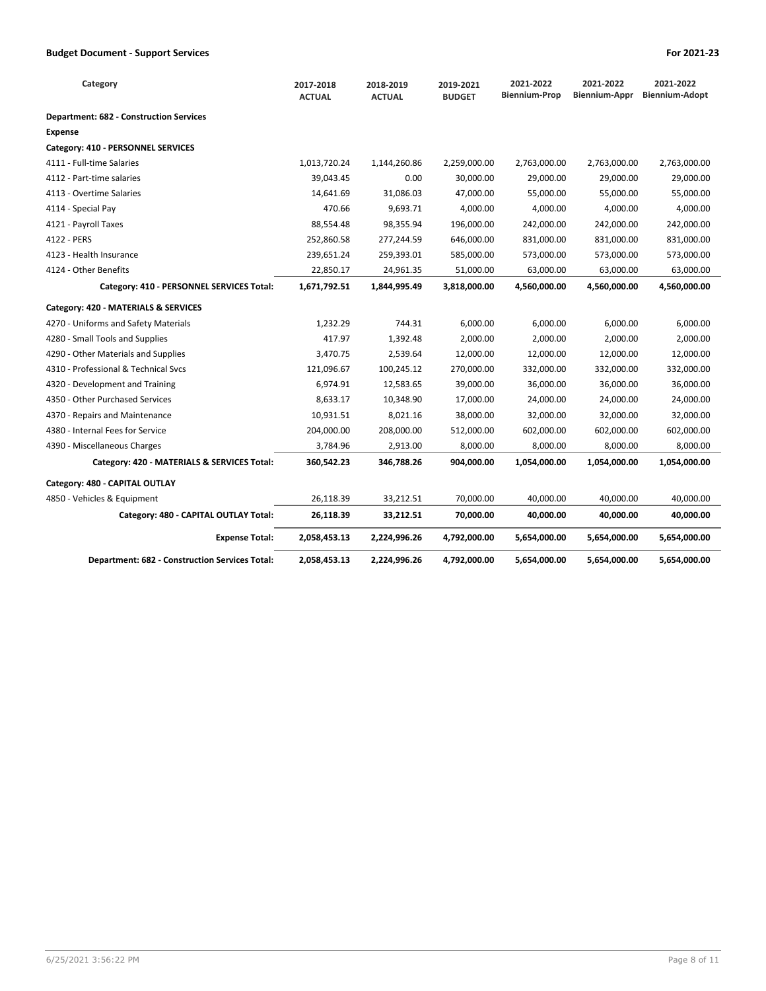| Category                                              | 2017-2018<br><b>ACTUAL</b> | 2018-2019<br><b>ACTUAL</b> | 2019-2021<br><b>BUDGET</b> | 2021-2022<br><b>Biennium-Prop</b> | 2021-2022<br>Biennium-Appr | 2021-2022<br><b>Biennium-Adopt</b> |
|-------------------------------------------------------|----------------------------|----------------------------|----------------------------|-----------------------------------|----------------------------|------------------------------------|
| <b>Department: 682 - Construction Services</b>        |                            |                            |                            |                                   |                            |                                    |
| <b>Expense</b>                                        |                            |                            |                            |                                   |                            |                                    |
| Category: 410 - PERSONNEL SERVICES                    |                            |                            |                            |                                   |                            |                                    |
| 4111 - Full-time Salaries                             | 1,013,720.24               | 1,144,260.86               | 2,259,000.00               | 2,763,000.00                      | 2,763,000.00               | 2,763,000.00                       |
| 4112 - Part-time salaries                             | 39,043.45                  | 0.00                       | 30,000.00                  | 29,000.00                         | 29,000.00                  | 29,000.00                          |
| 4113 - Overtime Salaries                              | 14,641.69                  | 31,086.03                  | 47,000.00                  | 55,000.00                         | 55,000.00                  | 55,000.00                          |
| 4114 - Special Pay                                    | 470.66                     | 9,693.71                   | 4,000.00                   | 4,000.00                          | 4,000.00                   | 4,000.00                           |
| 4121 - Payroll Taxes                                  | 88,554.48                  | 98,355.94                  | 196,000.00                 | 242,000.00                        | 242,000.00                 | 242,000.00                         |
| 4122 - PERS                                           | 252,860.58                 | 277,244.59                 | 646,000.00                 | 831,000.00                        | 831,000.00                 | 831,000.00                         |
| 4123 - Health Insurance                               | 239,651.24                 | 259,393.01                 | 585,000.00                 | 573,000.00                        | 573,000.00                 | 573,000.00                         |
| 4124 - Other Benefits                                 | 22,850.17                  | 24,961.35                  | 51,000.00                  | 63,000.00                         | 63,000.00                  | 63,000.00                          |
| Category: 410 - PERSONNEL SERVICES Total:             | 1,671,792.51               | 1,844,995.49               | 3,818,000.00               | 4,560,000.00                      | 4,560,000.00               | 4,560,000.00                       |
| Category: 420 - MATERIALS & SERVICES                  |                            |                            |                            |                                   |                            |                                    |
| 4270 - Uniforms and Safety Materials                  | 1,232.29                   | 744.31                     | 6,000.00                   | 6,000.00                          | 6,000.00                   | 6,000.00                           |
| 4280 - Small Tools and Supplies                       | 417.97                     | 1,392.48                   | 2,000.00                   | 2,000.00                          | 2,000.00                   | 2,000.00                           |
| 4290 - Other Materials and Supplies                   | 3,470.75                   | 2,539.64                   | 12,000.00                  | 12,000.00                         | 12,000.00                  | 12,000.00                          |
| 4310 - Professional & Technical Svcs                  | 121,096.67                 | 100,245.12                 | 270,000.00                 | 332,000.00                        | 332,000.00                 | 332,000.00                         |
| 4320 - Development and Training                       | 6,974.91                   | 12,583.65                  | 39,000.00                  | 36,000.00                         | 36,000.00                  | 36,000.00                          |
| 4350 - Other Purchased Services                       | 8,633.17                   | 10,348.90                  | 17,000.00                  | 24,000.00                         | 24,000.00                  | 24,000.00                          |
| 4370 - Repairs and Maintenance                        | 10,931.51                  | 8,021.16                   | 38,000.00                  | 32,000.00                         | 32,000.00                  | 32,000.00                          |
| 4380 - Internal Fees for Service                      | 204,000.00                 | 208,000.00                 | 512,000.00                 | 602,000.00                        | 602,000.00                 | 602,000.00                         |
| 4390 - Miscellaneous Charges                          | 3,784.96                   | 2,913.00                   | 8,000.00                   | 8,000.00                          | 8,000.00                   | 8,000.00                           |
| Category: 420 - MATERIALS & SERVICES Total:           | 360,542.23                 | 346,788.26                 | 904,000.00                 | 1,054,000.00                      | 1,054,000.00               | 1,054,000.00                       |
| Category: 480 - CAPITAL OUTLAY                        |                            |                            |                            |                                   |                            |                                    |
| 4850 - Vehicles & Equipment                           | 26,118.39                  | 33,212.51                  | 70,000.00                  | 40,000.00                         | 40,000.00                  | 40,000.00                          |
| Category: 480 - CAPITAL OUTLAY Total:                 | 26,118.39                  | 33,212.51                  | 70,000.00                  | 40,000.00                         | 40,000.00                  | 40,000.00                          |
| <b>Expense Total:</b>                                 | 2,058,453.13               | 2,224,996.26               | 4,792,000.00               | 5,654,000.00                      | 5,654,000.00               | 5,654,000.00                       |
| <b>Department: 682 - Construction Services Total:</b> | 2,058,453.13               | 2,224,996.26               | 4,792,000.00               | 5,654,000.00                      | 5,654,000.00               | 5,654,000.00                       |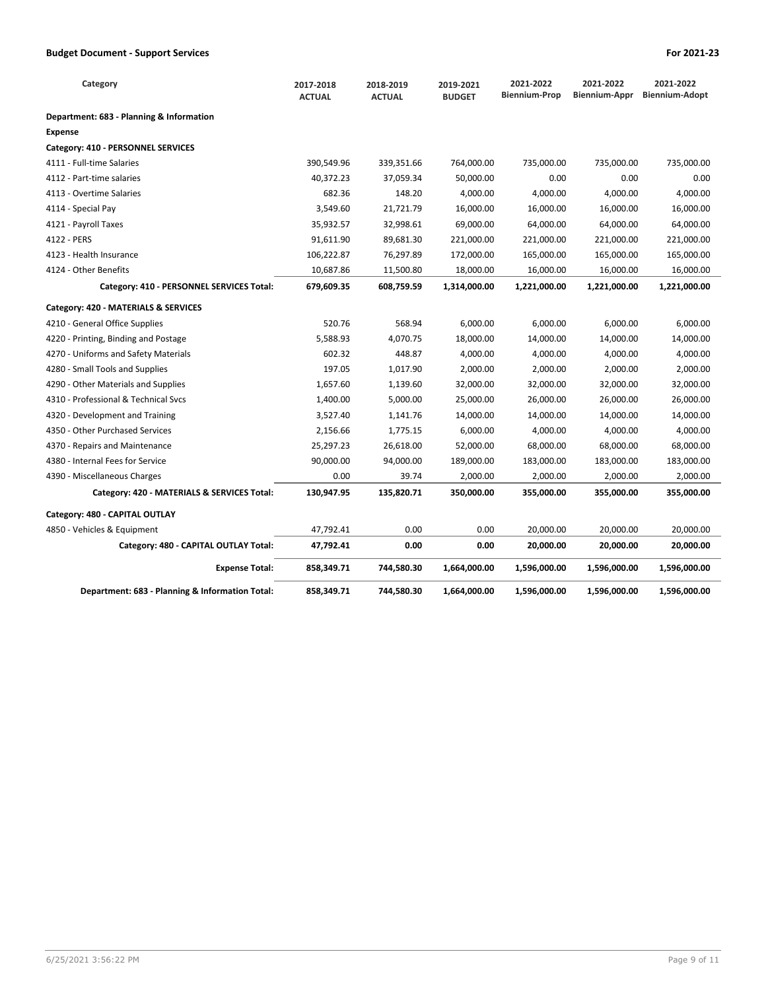| Category                                        | 2017-2018<br><b>ACTUAL</b> | 2018-2019<br><b>ACTUAL</b> | 2019-2021<br><b>BUDGET</b> | 2021-2022<br><b>Biennium-Prop</b> | 2021-2022<br>Biennium-Appr | 2021-2022<br><b>Biennium-Adopt</b> |
|-------------------------------------------------|----------------------------|----------------------------|----------------------------|-----------------------------------|----------------------------|------------------------------------|
| Department: 683 - Planning & Information        |                            |                            |                            |                                   |                            |                                    |
| <b>Expense</b>                                  |                            |                            |                            |                                   |                            |                                    |
| Category: 410 - PERSONNEL SERVICES              |                            |                            |                            |                                   |                            |                                    |
| 4111 - Full-time Salaries                       | 390,549.96                 | 339,351.66                 | 764,000.00                 | 735,000.00                        | 735,000.00                 | 735,000.00                         |
| 4112 - Part-time salaries                       | 40,372.23                  | 37,059.34                  | 50,000.00                  | 0.00                              | 0.00                       | 0.00                               |
| 4113 - Overtime Salaries                        | 682.36                     | 148.20                     | 4,000.00                   | 4,000.00                          | 4,000.00                   | 4,000.00                           |
| 4114 - Special Pay                              | 3,549.60                   | 21,721.79                  | 16,000.00                  | 16,000.00                         | 16,000.00                  | 16,000.00                          |
| 4121 - Payroll Taxes                            | 35,932.57                  | 32,998.61                  | 69,000.00                  | 64,000.00                         | 64,000.00                  | 64,000.00                          |
| 4122 - PERS                                     | 91,611.90                  | 89,681.30                  | 221,000.00                 | 221,000.00                        | 221,000.00                 | 221,000.00                         |
| 4123 - Health Insurance                         | 106,222.87                 | 76,297.89                  | 172,000.00                 | 165,000.00                        | 165,000.00                 | 165,000.00                         |
| 4124 - Other Benefits                           | 10,687.86                  | 11,500.80                  | 18,000.00                  | 16,000.00                         | 16,000.00                  | 16,000.00                          |
| Category: 410 - PERSONNEL SERVICES Total:       | 679,609.35                 | 608,759.59                 | 1,314,000.00               | 1,221,000.00                      | 1,221,000.00               | 1,221,000.00                       |
| Category: 420 - MATERIALS & SERVICES            |                            |                            |                            |                                   |                            |                                    |
| 4210 - General Office Supplies                  | 520.76                     | 568.94                     | 6,000.00                   | 6,000.00                          | 6,000.00                   | 6,000.00                           |
| 4220 - Printing, Binding and Postage            | 5,588.93                   | 4,070.75                   | 18,000.00                  | 14,000.00                         | 14,000.00                  | 14,000.00                          |
| 4270 - Uniforms and Safety Materials            | 602.32                     | 448.87                     | 4,000.00                   | 4,000.00                          | 4,000.00                   | 4,000.00                           |
| 4280 - Small Tools and Supplies                 | 197.05                     | 1,017.90                   | 2,000.00                   | 2,000.00                          | 2,000.00                   | 2,000.00                           |
| 4290 - Other Materials and Supplies             | 1,657.60                   | 1,139.60                   | 32,000.00                  | 32,000.00                         | 32,000.00                  | 32,000.00                          |
| 4310 - Professional & Technical Svcs            | 1,400.00                   | 5,000.00                   | 25,000.00                  | 26,000.00                         | 26,000.00                  | 26,000.00                          |
| 4320 - Development and Training                 | 3,527.40                   | 1,141.76                   | 14,000.00                  | 14,000.00                         | 14,000.00                  | 14,000.00                          |
| 4350 - Other Purchased Services                 | 2,156.66                   | 1,775.15                   | 6,000.00                   | 4,000.00                          | 4,000.00                   | 4,000.00                           |
| 4370 - Repairs and Maintenance                  | 25,297.23                  | 26,618.00                  | 52,000.00                  | 68,000.00                         | 68,000.00                  | 68,000.00                          |
| 4380 - Internal Fees for Service                | 90,000.00                  | 94,000.00                  | 189,000.00                 | 183,000.00                        | 183,000.00                 | 183,000.00                         |
| 4390 - Miscellaneous Charges                    | 0.00                       | 39.74                      | 2,000.00                   | 2,000.00                          | 2,000.00                   | 2,000.00                           |
| Category: 420 - MATERIALS & SERVICES Total:     | 130,947.95                 | 135,820.71                 | 350,000.00                 | 355,000.00                        | 355,000.00                 | 355,000.00                         |
| Category: 480 - CAPITAL OUTLAY                  |                            |                            |                            |                                   |                            |                                    |
| 4850 - Vehicles & Equipment                     | 47,792.41                  | 0.00                       | 0.00                       | 20,000.00                         | 20,000.00                  | 20,000.00                          |
| Category: 480 - CAPITAL OUTLAY Total:           | 47,792.41                  | 0.00                       | 0.00                       | 20,000.00                         | 20,000.00                  | 20,000.00                          |
| <b>Expense Total:</b>                           | 858,349.71                 | 744,580.30                 | 1,664,000.00               | 1,596,000.00                      | 1,596,000.00               | 1,596,000.00                       |
| Department: 683 - Planning & Information Total: | 858,349.71                 | 744,580.30                 | 1,664,000.00               | 1,596,000.00                      | 1,596,000.00               | 1,596,000.00                       |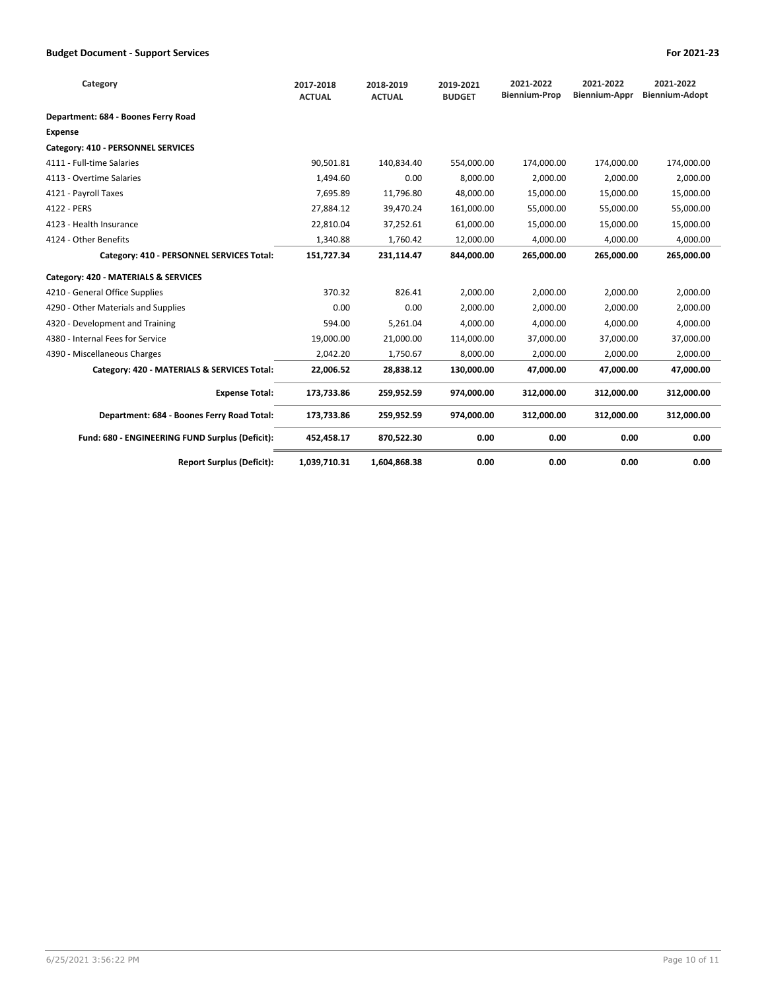| Category                                        | 2017-2018<br><b>ACTUAL</b> | 2018-2019<br><b>ACTUAL</b> | 2019-2021<br><b>BUDGET</b> | 2021-2022<br><b>Biennium-Prop</b> | 2021-2022<br><b>Biennium-Appr</b> | 2021-2022<br><b>Biennium-Adopt</b> |
|-------------------------------------------------|----------------------------|----------------------------|----------------------------|-----------------------------------|-----------------------------------|------------------------------------|
| Department: 684 - Boones Ferry Road             |                            |                            |                            |                                   |                                   |                                    |
| <b>Expense</b>                                  |                            |                            |                            |                                   |                                   |                                    |
| Category: 410 - PERSONNEL SERVICES              |                            |                            |                            |                                   |                                   |                                    |
| 4111 - Full-time Salaries                       | 90,501.81                  | 140,834.40                 | 554.000.00                 | 174.000.00                        | 174,000.00                        | 174,000.00                         |
| 4113 - Overtime Salaries                        | 1,494.60                   | 0.00                       | 8,000.00                   | 2,000.00                          | 2,000.00                          | 2,000.00                           |
| 4121 - Payroll Taxes                            | 7,695.89                   | 11,796.80                  | 48,000.00                  | 15,000.00                         | 15,000.00                         | 15,000.00                          |
| 4122 - PERS                                     | 27,884.12                  | 39,470.24                  | 161,000.00                 | 55,000.00                         | 55,000.00                         | 55,000.00                          |
| 4123 - Health Insurance                         | 22,810.04                  | 37,252.61                  | 61,000.00                  | 15,000.00                         | 15,000.00                         | 15,000.00                          |
| 4124 - Other Benefits                           | 1.340.88                   | 1.760.42                   | 12.000.00                  | 4.000.00                          | 4.000.00                          | 4.000.00                           |
| Category: 410 - PERSONNEL SERVICES Total:       | 151,727.34                 | 231,114.47                 | 844.000.00                 | 265.000.00                        | 265,000.00                        | 265,000.00                         |
| Category: 420 - MATERIALS & SERVICES            |                            |                            |                            |                                   |                                   |                                    |
| 4210 - General Office Supplies                  | 370.32                     | 826.41                     | 2,000.00                   | 2,000.00                          | 2,000.00                          | 2,000.00                           |
| 4290 - Other Materials and Supplies             | 0.00                       | 0.00                       | 2,000.00                   | 2,000.00                          | 2,000.00                          | 2,000.00                           |
| 4320 - Development and Training                 | 594.00                     | 5,261.04                   | 4.000.00                   | 4.000.00                          | 4.000.00                          | 4,000.00                           |
| 4380 - Internal Fees for Service                | 19,000.00                  | 21,000.00                  | 114,000.00                 | 37,000.00                         | 37,000.00                         | 37,000.00                          |
| 4390 - Miscellaneous Charges                    | 2,042.20                   | 1,750.67                   | 8,000.00                   | 2,000.00                          | 2,000.00                          | 2,000.00                           |
| Category: 420 - MATERIALS & SERVICES Total:     | 22,006.52                  | 28,838.12                  | 130,000.00                 | 47.000.00                         | 47.000.00                         | 47.000.00                          |
| <b>Expense Total:</b>                           | 173,733.86                 | 259,952.59                 | 974,000.00                 | 312,000.00                        | 312,000.00                        | 312,000.00                         |
| Department: 684 - Boones Ferry Road Total:      | 173,733.86                 | 259,952.59                 | 974,000.00                 | 312,000.00                        | 312,000.00                        | 312,000.00                         |
| Fund: 680 - ENGINEERING FUND Surplus (Deficit): | 452,458.17                 | 870,522.30                 | 0.00                       | 0.00                              | 0.00                              | 0.00                               |
| <b>Report Surplus (Deficit):</b>                | 1,039,710.31               | 1,604,868.38               | 0.00                       | 0.00                              | 0.00                              | 0.00                               |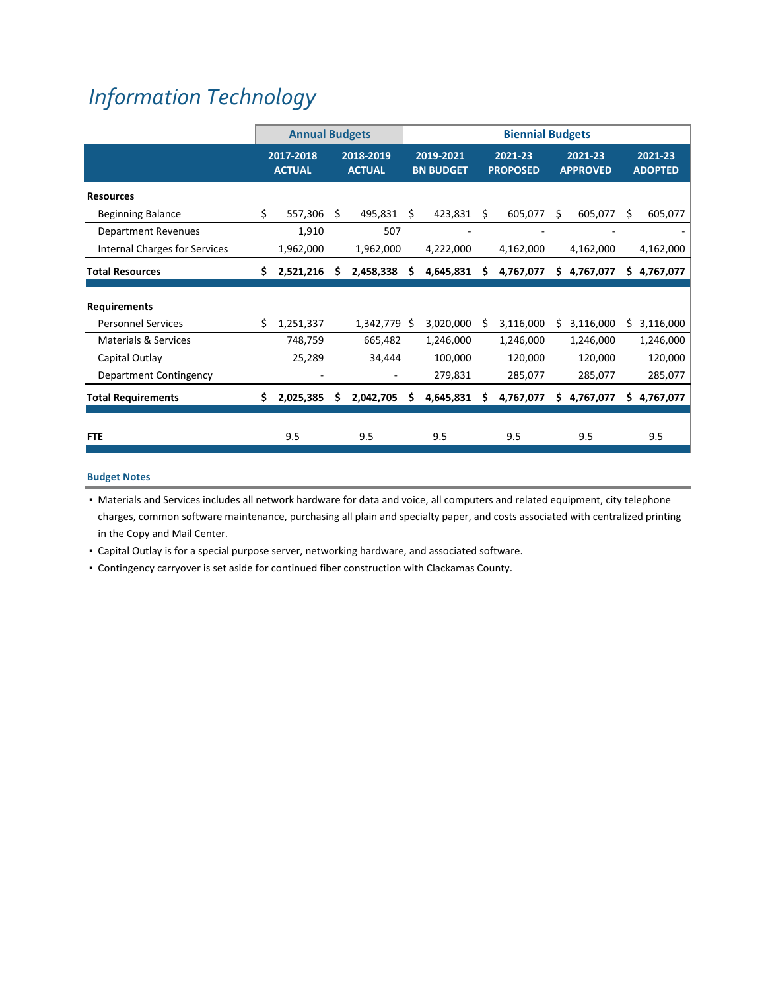# *[Information](https://www.ci.oswego.or.us/contact) Technology*

|                                 |    | <b>Annual Budgets</b>      |                            |           | <b>Biennial Budgets</b>       |           |    |                            |                            |             |     |                           |
|---------------------------------|----|----------------------------|----------------------------|-----------|-------------------------------|-----------|----|----------------------------|----------------------------|-------------|-----|---------------------------|
|                                 |    | 2017-2018<br><b>ACTUAL</b> | 2018-2019<br><b>ACTUAL</b> |           | 2019-2021<br><b>BN BUDGET</b> |           |    | 2021-23<br><b>PROPOSED</b> | 2021-23<br><b>APPROVED</b> |             |     | 2021-23<br><b>ADOPTED</b> |
| <b>Resources</b>                |    |                            |                            |           |                               |           |    |                            |                            |             |     |                           |
| <b>Beginning Balance</b>        | \$ | 557,306                    | Ŝ.                         | 495,831   | \$                            | 423,831   | Ŝ. | 605,077                    | Ś                          | 605,077     | Ś   | 605,077                   |
| <b>Department Revenues</b>      |    | 1,910                      |                            | 507       |                               | ۰         |    |                            |                            |             |     |                           |
| Internal Charges for Services   |    | 1,962,000                  |                            | 1,962,000 |                               | 4,222,000 |    | 4,162,000                  |                            | 4,162,000   |     | 4,162,000                 |
| <b>Total Resources</b>          | Ś. | 2,521,216                  | S                          | 2,458,338 | \$                            | 4,645,831 | S  | 4,767,077                  |                            | \$4,767,077 | \$. | 4,767,077                 |
| <b>Requirements</b>             |    |                            |                            |           |                               |           |    |                            |                            |             |     |                           |
| <b>Personnel Services</b>       | Ś. | 1,251,337                  |                            | 1,342,779 | Ŝ                             | 3,020,000 | S  | 3,116,000                  | Ś.                         | 3,116,000   | Ś.  | 3,116,000                 |
| <b>Materials &amp; Services</b> |    | 748,759                    |                            | 665,482   |                               | 1,246,000 |    | 1,246,000                  |                            | 1,246,000   |     | 1,246,000                 |
| Capital Outlay                  |    | 25,289                     |                            | 34,444    |                               | 100,000   |    | 120,000                    |                            | 120,000     |     | 120,000                   |
| Department Contingency          |    |                            |                            | ۰         |                               | 279,831   |    | 285,077                    |                            | 285,077     |     | 285,077                   |
| <b>Total Requirements</b>       | Ś. | 2,025,385                  | Ś.                         | 2,042,705 | \$                            | 4,645,831 | Ś  | 4,767,077                  | Ś.                         | 4,767,077   | Ś.  | 4,767,077                 |
| <b>FTE</b>                      |    | 9.5                        |                            | 9.5       |                               | 9.5       |    | 9.5                        |                            | 9.5         |     | 9.5                       |

## **Budget Notes**

▪ Materials and Services includes all network hardware for data and voice, all computers and related equipment, city telephone charges, common software maintenance, purchasing all plain and specialty paper, and costs associated with centralized printing in the Copy and Mail Center.

▪ Capital Outlay is for a special purpose server, networking hardware, and associated software.

▪ Contingency carryover is set aside for continued fiber construction with Clackamas County.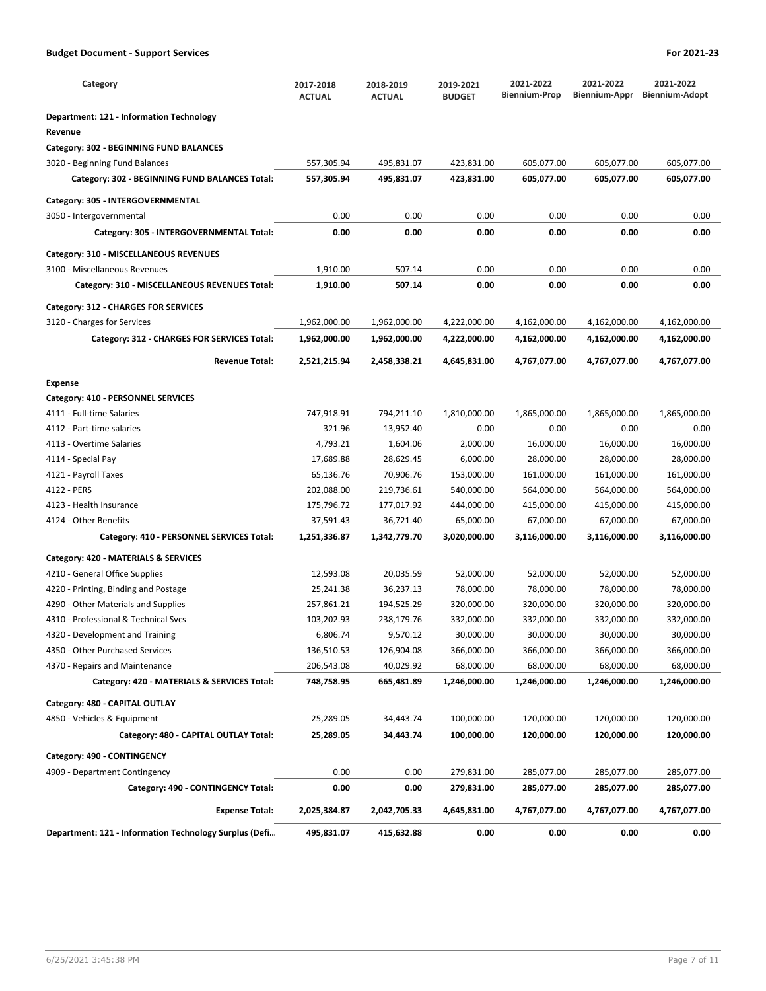| Category                                               | 2017-2018<br><b>ACTUAL</b> | 2018-2019<br><b>ACTUAL</b> | 2019-2021<br><b>BUDGET</b> | 2021-2022<br><b>Biennium-Prop</b> | 2021-2022<br>Biennium-Appr | 2021-2022<br><b>Biennium-Adopt</b> |
|--------------------------------------------------------|----------------------------|----------------------------|----------------------------|-----------------------------------|----------------------------|------------------------------------|
| <b>Department: 121 - Information Technology</b>        |                            |                            |                            |                                   |                            |                                    |
| Revenue                                                |                            |                            |                            |                                   |                            |                                    |
| Category: 302 - BEGINNING FUND BALANCES                |                            |                            |                            |                                   |                            |                                    |
| 3020 - Beginning Fund Balances                         | 557,305.94                 | 495,831.07                 | 423,831.00                 | 605,077.00                        | 605,077.00                 | 605,077.00                         |
| Category: 302 - BEGINNING FUND BALANCES Total:         | 557,305.94                 | 495,831.07                 | 423,831.00                 | 605,077.00                        | 605,077.00                 | 605,077.00                         |
| Category: 305 - INTERGOVERNMENTAL                      |                            |                            |                            |                                   |                            |                                    |
| 3050 - Intergovernmental                               | 0.00                       | 0.00                       | 0.00                       | 0.00                              | 0.00                       | 0.00                               |
| Category: 305 - INTERGOVERNMENTAL Total:               | 0.00                       | 0.00                       | 0.00                       | 0.00                              | 0.00                       | 0.00                               |
| Category: 310 - MISCELLANEOUS REVENUES                 |                            |                            |                            |                                   |                            |                                    |
| 3100 - Miscellaneous Revenues                          | 1,910.00                   | 507.14                     | 0.00                       | 0.00                              | 0.00                       | 0.00                               |
| Category: 310 - MISCELLANEOUS REVENUES Total:          | 1,910.00                   | 507.14                     | 0.00                       | 0.00                              | 0.00                       | 0.00                               |
| Category: 312 - CHARGES FOR SERVICES                   |                            |                            |                            |                                   |                            |                                    |
| 3120 - Charges for Services                            | 1,962,000.00               | 1,962,000.00               | 4,222,000.00               | 4,162,000.00                      | 4,162,000.00               | 4,162,000.00                       |
| Category: 312 - CHARGES FOR SERVICES Total:            | 1,962,000.00               | 1,962,000.00               | 4,222,000.00               | 4,162,000.00                      | 4,162,000.00               | 4,162,000.00                       |
| <b>Revenue Total:</b>                                  | 2,521,215.94               | 2,458,338.21               | 4,645,831.00               | 4,767,077.00                      | 4,767,077.00               | 4,767,077.00                       |
| <b>Expense</b>                                         |                            |                            |                            |                                   |                            |                                    |
| Category: 410 - PERSONNEL SERVICES                     |                            |                            |                            |                                   |                            |                                    |
| 4111 - Full-time Salaries                              | 747,918.91                 | 794,211.10                 | 1,810,000.00               | 1,865,000.00                      | 1,865,000.00               | 1,865,000.00                       |
| 4112 - Part-time salaries                              | 321.96                     | 13,952.40                  | 0.00                       | 0.00                              | 0.00                       | 0.00                               |
| 4113 - Overtime Salaries                               | 4,793.21                   | 1,604.06                   | 2,000.00                   | 16,000.00                         | 16,000.00                  | 16,000.00                          |
| 4114 - Special Pay                                     | 17,689.88                  | 28,629.45                  | 6,000.00                   | 28,000.00                         | 28,000.00                  | 28,000.00                          |
| 4121 - Payroll Taxes                                   | 65,136.76                  | 70,906.76                  | 153,000.00                 | 161,000.00                        | 161,000.00                 | 161,000.00                         |
| 4122 - PERS                                            | 202,088.00                 | 219,736.61                 | 540,000.00                 | 564,000.00                        | 564,000.00                 | 564,000.00                         |
| 4123 - Health Insurance                                | 175,796.72                 | 177,017.92                 | 444,000.00                 | 415,000.00                        | 415,000.00                 | 415,000.00                         |
| 4124 - Other Benefits                                  | 37,591.43                  | 36,721.40                  | 65,000.00                  | 67,000.00                         | 67,000.00                  | 67,000.00                          |
| Category: 410 - PERSONNEL SERVICES Total:              | 1,251,336.87               | 1,342,779.70               | 3,020,000.00               | 3,116,000.00                      | 3,116,000.00               | 3,116,000.00                       |
| Category: 420 - MATERIALS & SERVICES                   |                            |                            |                            |                                   |                            |                                    |
| 4210 - General Office Supplies                         | 12,593.08                  | 20,035.59                  | 52,000.00                  | 52,000.00                         | 52,000.00                  | 52,000.00                          |
| 4220 - Printing, Binding and Postage                   | 25,241.38                  | 36,237.13                  | 78,000.00                  | 78,000.00                         | 78,000.00                  | 78,000.00                          |
| 4290 - Other Materials and Supplies                    | 257,861.21                 | 194,525.29                 | 320,000.00                 | 320,000.00                        | 320,000.00                 | 320,000.00                         |
| 4310 - Professional & Technical Svcs                   | 103,202.93                 | 238,179.76                 | 332,000.00                 | 332,000.00                        | 332,000.00                 | 332,000.00                         |
| 4320 - Development and Training                        | 6,806.74                   | 9,570.12                   | 30,000.00                  | 30,000.00                         | 30,000.00                  | 30,000.00                          |
| 4350 - Other Purchased Services                        | 136,510.53                 | 126,904.08                 | 366,000.00                 | 366,000.00                        | 366,000.00                 | 366,000.00                         |
| 4370 - Repairs and Maintenance                         | 206,543.08                 | 40,029.92                  | 68,000.00                  | 68,000.00                         | 68,000.00                  | 68,000.00                          |
| Category: 420 - MATERIALS & SERVICES Total:            | 748,758.95                 | 665,481.89                 | 1,246,000.00               | 1,246,000.00                      | 1,246,000.00               | 1,246,000.00                       |
| Category: 480 - CAPITAL OUTLAY                         |                            |                            |                            |                                   |                            |                                    |
| 4850 - Vehicles & Equipment                            | 25,289.05                  | 34,443.74                  | 100,000.00                 | 120,000.00                        | 120,000.00                 | 120,000.00                         |
| Category: 480 - CAPITAL OUTLAY Total:                  | 25,289.05                  | 34,443.74                  | 100,000.00                 | 120,000.00                        | 120,000.00                 | 120,000.00                         |
| Category: 490 - CONTINGENCY                            |                            |                            |                            |                                   |                            |                                    |
| 4909 - Department Contingency                          | 0.00                       | 0.00                       | 279,831.00                 | 285,077.00                        | 285,077.00                 | 285,077.00                         |
| Category: 490 - CONTINGENCY Total:                     | 0.00                       | 0.00                       | 279,831.00                 | 285,077.00                        | 285,077.00                 | 285,077.00                         |
| <b>Expense Total:</b>                                  | 2,025,384.87               | 2,042,705.33               | 4,645,831.00               | 4,767,077.00                      | 4,767,077.00               | 4,767,077.00                       |
| Department: 121 - Information Technology Surplus (Defi | 495,831.07                 | 415,632.88                 | 0.00                       | 0.00                              | 0.00                       | 0.00                               |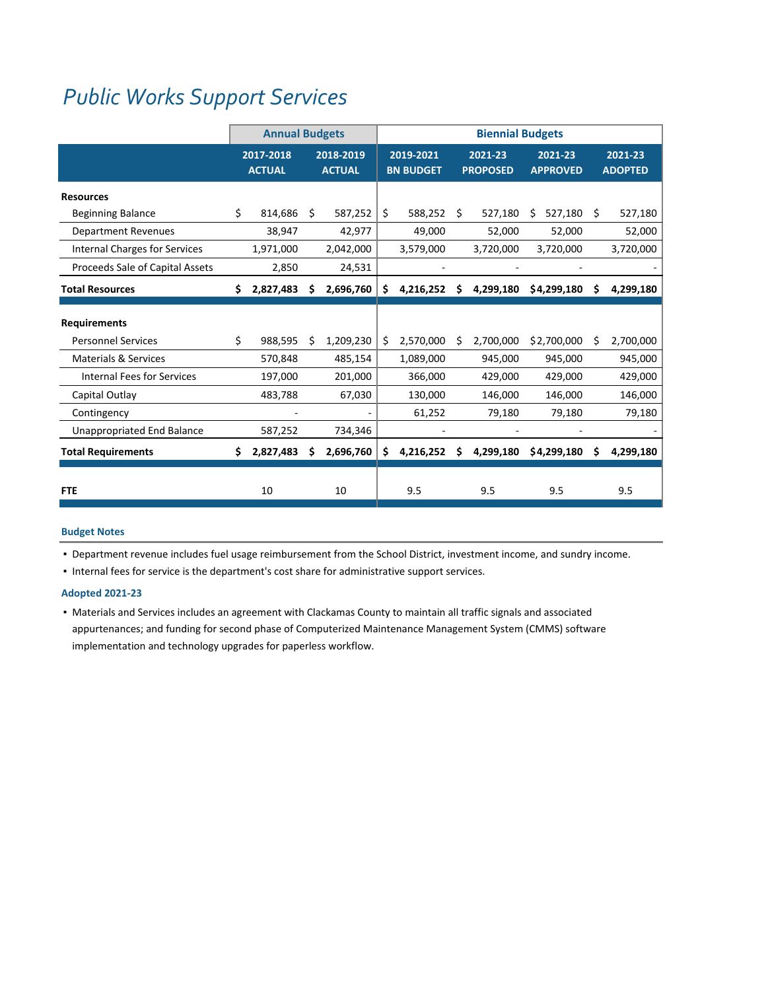## *Public Works Support [Services](https://www.ci.oswego.or.us/publicworks)*

|                                      | <b>Annual Budgets</b> |                            |    |                            | <b>Biennial Budgets</b> |                               |    |                            |                            |    |                           |
|--------------------------------------|-----------------------|----------------------------|----|----------------------------|-------------------------|-------------------------------|----|----------------------------|----------------------------|----|---------------------------|
|                                      |                       | 2017-2018<br><b>ACTUAL</b> |    | 2018-2019<br><b>ACTUAL</b> |                         | 2019-2021<br><b>BN BUDGET</b> |    | 2021-23<br><b>PROPOSED</b> | 2021-23<br><b>APPROVED</b> |    | 2021-23<br><b>ADOPTED</b> |
| <b>Resources</b>                     |                       |                            |    |                            |                         |                               |    |                            |                            |    |                           |
| <b>Beginning Balance</b>             | Ś.                    | 814,686                    | Ŝ. | 587,252                    | \$                      | 588,252                       | Ŝ. | 527,180                    | 527,180<br>S               | Ŝ. | 527,180                   |
| <b>Department Revenues</b>           |                       | 38,947                     |    | 42,977                     |                         | 49,000                        |    | 52,000                     | 52,000                     |    | 52,000                    |
| <b>Internal Charges for Services</b> |                       | 1,971,000                  |    | 2,042,000                  |                         | 3,579,000                     |    | 3,720,000                  | 3,720,000                  |    | 3,720,000                 |
| Proceeds Sale of Capital Assets      |                       | 2,850                      |    | 24,531                     |                         |                               |    |                            |                            |    |                           |
| <b>Total Resources</b>               | Ś.                    | 2,827,483                  | \$ | 2,696,760                  | \$                      | 4,216,252                     | Ś  | 4,299,180                  | \$4,299,180                | \$ | 4,299,180                 |
| <b>Requirements</b>                  |                       |                            |    |                            |                         |                               |    |                            |                            |    |                           |
| <b>Personnel Services</b>            | Ś.                    | 988,595                    | Ŝ  | 1,209,230                  | Ś                       | 2,570,000                     | Ŝ  | 2,700,000                  | \$2,700,000                | Ŝ. | 2,700,000                 |
| <b>Materials &amp; Services</b>      |                       | 570,848                    |    | 485,154                    |                         | 1,089,000                     |    | 945,000                    | 945,000                    |    | 945,000                   |
| <b>Internal Fees for Services</b>    |                       | 197,000                    |    | 201,000                    |                         | 366,000                       |    | 429,000                    | 429,000                    |    | 429,000                   |
| Capital Outlay                       |                       | 483,788                    |    | 67,030                     |                         | 130,000                       |    | 146,000                    | 146,000                    |    | 146,000                   |
| Contingency                          |                       |                            |    |                            |                         | 61,252                        |    | 79,180                     | 79,180                     |    | 79,180                    |
| <b>Unappropriated End Balance</b>    |                       | 587,252                    |    | 734,346                    |                         |                               |    |                            |                            |    |                           |
| <b>Total Requirements</b>            | Ś.                    | 2,827,483                  | S  | 2,696,760                  | \$                      | 4,216,252                     | S  | 4,299,180                  | \$4,299,180                | S  | 4,299,180                 |
| <b>FTE</b>                           |                       | 10                         |    | 10                         |                         | 9.5                           |    | 9.5                        | 9.5                        |    | 9.5                       |

## **Budget Notes**

▪ Department revenue includes fuel usage reimbursement from the School District, investment income, and sundry income.

▪ Internal fees for service is the department's cost share for administrative support services.

## **Adopted 2021‐23**

▪ Materials and Services includes an agreement with Clackamas County to maintain all traffic signals and associated appurtenances; and funding for second phase of Computerized Maintenance Management System (CMMS) software implementation and technology upgrades for paperless workflow.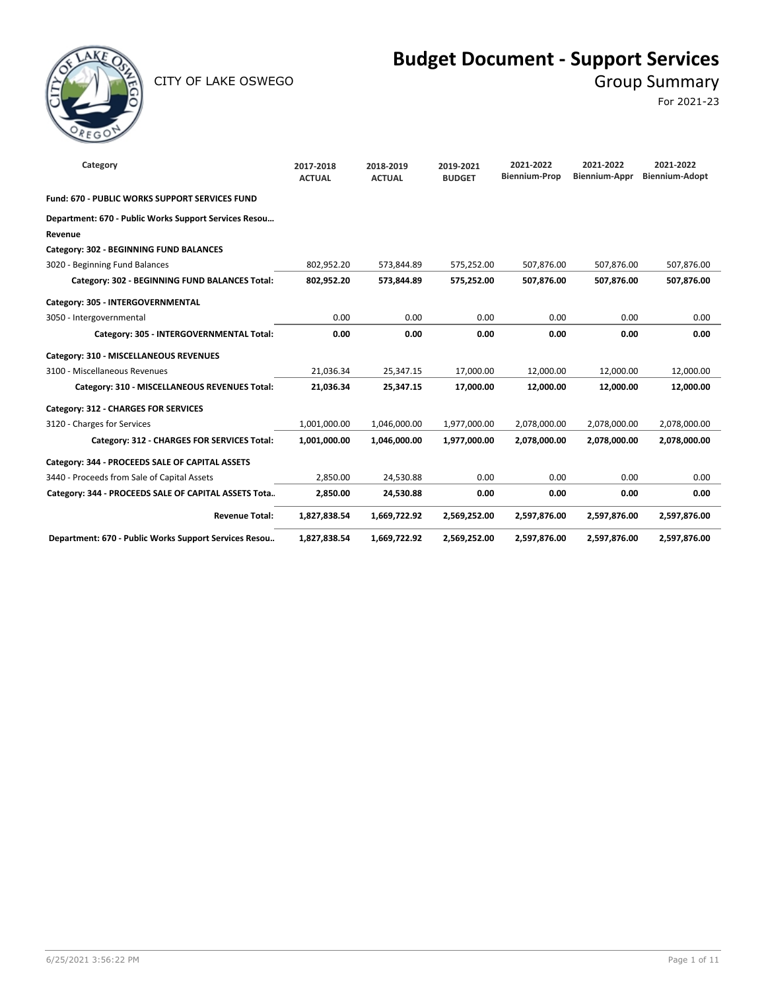

CITY OF LAKE OSWEGO GROUP SUMMARY

## **Budget Document - Support Services**

For 2021-23

| Category                                              | 2017-2018<br><b>ACTUAL</b> | 2018-2019<br><b>ACTUAL</b> | 2019-2021<br><b>BUDGET</b> | 2021-2022<br><b>Biennium-Prop</b> | 2021-2022<br><b>Biennium-Appr</b> | 2021-2022<br><b>Biennium-Adopt</b> |
|-------------------------------------------------------|----------------------------|----------------------------|----------------------------|-----------------------------------|-----------------------------------|------------------------------------|
| Fund: 670 - PUBLIC WORKS SUPPORT SERVICES FUND        |                            |                            |                            |                                   |                                   |                                    |
| Department: 670 - Public Works Support Services Resou |                            |                            |                            |                                   |                                   |                                    |
| Revenue                                               |                            |                            |                            |                                   |                                   |                                    |
| Category: 302 - BEGINNING FUND BALANCES               |                            |                            |                            |                                   |                                   |                                    |
| 3020 - Beginning Fund Balances                        | 802,952.20                 | 573,844.89                 | 575,252.00                 | 507,876.00                        | 507,876.00                        | 507,876.00                         |
| Category: 302 - BEGINNING FUND BALANCES Total:        | 802,952.20                 | 573,844.89                 | 575,252.00                 | 507,876.00                        | 507,876.00                        | 507,876.00                         |
| Category: 305 - INTERGOVERNMENTAL                     |                            |                            |                            |                                   |                                   |                                    |
| 3050 - Intergovernmental                              | 0.00                       | 0.00                       | 0.00                       | 0.00                              | 0.00                              | 0.00                               |
| Category: 305 - INTERGOVERNMENTAL Total:              | 0.00                       | 0.00                       | 0.00                       | 0.00                              | 0.00                              | 0.00                               |
| Category: 310 - MISCELLANEOUS REVENUES                |                            |                            |                            |                                   |                                   |                                    |
| 3100 - Miscellaneous Revenues                         | 21,036.34                  | 25,347.15                  | 17,000.00                  | 12,000.00                         | 12,000.00                         | 12,000.00                          |
| Category: 310 - MISCELLANEOUS REVENUES Total:         | 21,036.34                  | 25,347.15                  | 17,000.00                  | 12,000.00                         | 12,000.00                         | 12,000.00                          |
| Category: 312 - CHARGES FOR SERVICES                  |                            |                            |                            |                                   |                                   |                                    |
| 3120 - Charges for Services                           | 1,001,000.00               | 1,046,000.00               | 1,977,000.00               | 2,078,000.00                      | 2,078,000.00                      | 2,078,000.00                       |
| Category: 312 - CHARGES FOR SERVICES Total:           | 1,001,000.00               | 1,046,000.00               | 1,977,000.00               | 2,078,000.00                      | 2,078,000.00                      | 2,078,000.00                       |
| Category: 344 - PROCEEDS SALE OF CAPITAL ASSETS       |                            |                            |                            |                                   |                                   |                                    |
| 3440 - Proceeds from Sale of Capital Assets           | 2,850.00                   | 24,530.88                  | 0.00                       | 0.00                              | 0.00                              | 0.00                               |
| Category: 344 - PROCEEDS SALE OF CAPITAL ASSETS Tota  | 2,850.00                   | 24,530.88                  | 0.00                       | 0.00                              | 0.00                              | 0.00                               |
| <b>Revenue Total:</b>                                 | 1,827,838.54               | 1,669,722.92               | 2,569,252.00               | 2,597,876.00                      | 2,597,876.00                      | 2,597,876.00                       |
| Department: 670 - Public Works Support Services Resou | 1,827,838.54               | 1,669,722.92               | 2,569,252.00               | 2,597,876.00                      | 2,597,876.00                      | 2,597,876.00                       |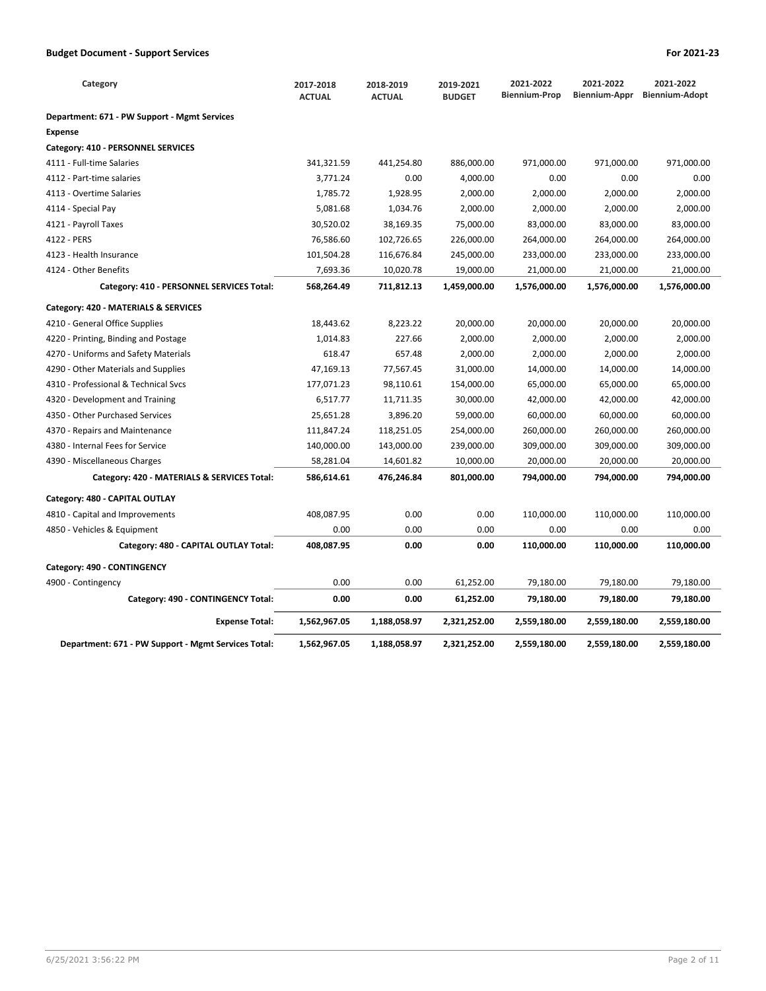| Category                                            | 2017-2018<br><b>ACTUAL</b> | 2018-2019<br><b>ACTUAL</b> | 2019-2021<br><b>BUDGET</b> | 2021-2022<br><b>Biennium-Prop</b> | 2021-2022<br>Biennium-Appr | 2021-2022<br><b>Biennium-Adopt</b> |
|-----------------------------------------------------|----------------------------|----------------------------|----------------------------|-----------------------------------|----------------------------|------------------------------------|
| Department: 671 - PW Support - Mgmt Services        |                            |                            |                            |                                   |                            |                                    |
| <b>Expense</b>                                      |                            |                            |                            |                                   |                            |                                    |
| Category: 410 - PERSONNEL SERVICES                  |                            |                            |                            |                                   |                            |                                    |
| 4111 - Full-time Salaries                           | 341,321.59                 | 441,254.80                 | 886,000.00                 | 971,000.00                        | 971,000.00                 | 971,000.00                         |
| 4112 - Part-time salaries                           | 3,771.24                   | 0.00                       | 4,000.00                   | 0.00                              | 0.00                       | 0.00                               |
| 4113 - Overtime Salaries                            | 1,785.72                   | 1,928.95                   | 2,000.00                   | 2,000.00                          | 2,000.00                   | 2,000.00                           |
| 4114 - Special Pay                                  | 5,081.68                   | 1,034.76                   | 2,000.00                   | 2,000.00                          | 2,000.00                   | 2,000.00                           |
| 4121 - Payroll Taxes                                | 30,520.02                  | 38,169.35                  | 75,000.00                  | 83,000.00                         | 83,000.00                  | 83,000.00                          |
| 4122 - PERS                                         | 76,586.60                  | 102,726.65                 | 226,000.00                 | 264,000.00                        | 264,000.00                 | 264,000.00                         |
| 4123 - Health Insurance                             | 101,504.28                 | 116,676.84                 | 245,000.00                 | 233,000.00                        | 233,000.00                 | 233,000.00                         |
| 4124 - Other Benefits                               | 7,693.36                   | 10,020.78                  | 19,000.00                  | 21,000.00                         | 21,000.00                  | 21,000.00                          |
| Category: 410 - PERSONNEL SERVICES Total:           | 568,264.49                 | 711,812.13                 | 1,459,000.00               | 1,576,000.00                      | 1,576,000.00               | 1,576,000.00                       |
| Category: 420 - MATERIALS & SERVICES                |                            |                            |                            |                                   |                            |                                    |
| 4210 - General Office Supplies                      | 18,443.62                  | 8,223.22                   | 20,000.00                  | 20,000.00                         | 20,000.00                  | 20,000.00                          |
| 4220 - Printing, Binding and Postage                | 1,014.83                   | 227.66                     | 2,000.00                   | 2,000.00                          | 2,000.00                   | 2,000.00                           |
| 4270 - Uniforms and Safety Materials                | 618.47                     | 657.48                     | 2,000.00                   | 2,000.00                          | 2,000.00                   | 2,000.00                           |
| 4290 - Other Materials and Supplies                 | 47,169.13                  | 77,567.45                  | 31,000.00                  | 14,000.00                         | 14,000.00                  | 14,000.00                          |
| 4310 - Professional & Technical Svcs                | 177,071.23                 | 98,110.61                  | 154,000.00                 | 65,000.00                         | 65,000.00                  | 65,000.00                          |
| 4320 - Development and Training                     | 6,517.77                   | 11,711.35                  | 30,000.00                  | 42,000.00                         | 42,000.00                  | 42,000.00                          |
| 4350 - Other Purchased Services                     | 25,651.28                  | 3,896.20                   | 59,000.00                  | 60,000.00                         | 60,000.00                  | 60,000.00                          |
| 4370 - Repairs and Maintenance                      | 111,847.24                 | 118,251.05                 | 254,000.00                 | 260,000.00                        | 260,000.00                 | 260,000.00                         |
| 4380 - Internal Fees for Service                    | 140,000.00                 | 143,000.00                 | 239,000.00                 | 309,000.00                        | 309,000.00                 | 309,000.00                         |
| 4390 - Miscellaneous Charges                        | 58,281.04                  | 14,601.82                  | 10,000.00                  | 20,000.00                         | 20,000.00                  | 20,000.00                          |
| Category: 420 - MATERIALS & SERVICES Total:         | 586,614.61                 | 476,246.84                 | 801,000.00                 | 794,000.00                        | 794,000.00                 | 794,000.00                         |
| Category: 480 - CAPITAL OUTLAY                      |                            |                            |                            |                                   |                            |                                    |
| 4810 - Capital and Improvements                     | 408,087.95                 | 0.00                       | 0.00                       | 110,000.00                        | 110,000.00                 | 110,000.00                         |
| 4850 - Vehicles & Equipment                         | 0.00                       | 0.00                       | 0.00                       | 0.00                              | 0.00                       | 0.00                               |
| Category: 480 - CAPITAL OUTLAY Total:               | 408,087.95                 | 0.00                       | 0.00                       | 110,000.00                        | 110,000.00                 | 110,000.00                         |
| Category: 490 - CONTINGENCY                         |                            |                            |                            |                                   |                            |                                    |
| 4900 - Contingency                                  | 0.00                       | 0.00                       | 61,252.00                  | 79,180.00                         | 79,180.00                  | 79,180.00                          |
| Category: 490 - CONTINGENCY Total:                  | 0.00                       | 0.00                       | 61,252.00                  | 79,180.00                         | 79,180.00                  | 79,180.00                          |
| <b>Expense Total:</b>                               | 1,562,967.05               | 1,188,058.97               | 2,321,252.00               | 2,559,180.00                      | 2,559,180.00               | 2,559,180.00                       |
| Department: 671 - PW Support - Mgmt Services Total: | 1,562,967.05               | 1,188,058.97               | 2,321,252.00               | 2,559,180.00                      | 2,559,180.00               | 2,559,180.00                       |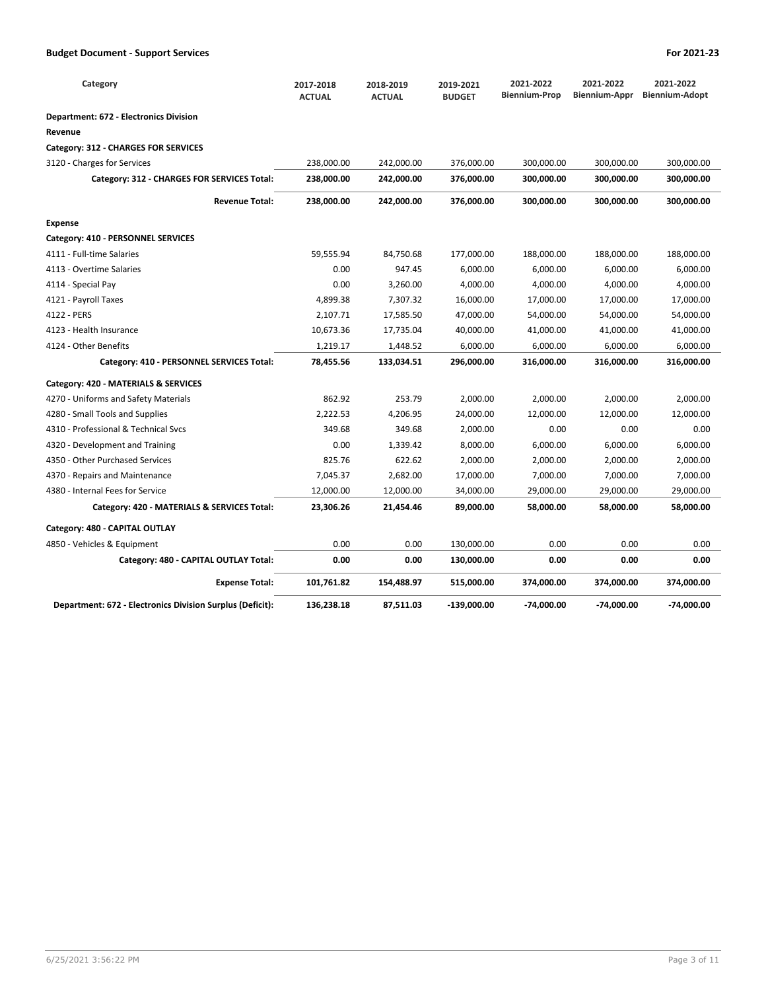| Category                                                  | 2017-2018<br><b>ACTUAL</b> | 2018-2019<br><b>ACTUAL</b> | 2019-2021<br><b>BUDGET</b> | 2021-2022<br><b>Biennium-Prop</b> | 2021-2022<br>Biennium-Appr | 2021-2022<br><b>Biennium-Adopt</b> |
|-----------------------------------------------------------|----------------------------|----------------------------|----------------------------|-----------------------------------|----------------------------|------------------------------------|
| <b>Department: 672 - Electronics Division</b>             |                            |                            |                            |                                   |                            |                                    |
| Revenue                                                   |                            |                            |                            |                                   |                            |                                    |
| Category: 312 - CHARGES FOR SERVICES                      |                            |                            |                            |                                   |                            |                                    |
| 3120 - Charges for Services                               | 238,000.00                 | 242,000.00                 | 376,000.00                 | 300,000.00                        | 300,000.00                 | 300,000.00                         |
| Category: 312 - CHARGES FOR SERVICES Total:               | 238,000.00                 | 242,000.00                 | 376,000.00                 | 300,000.00                        | 300,000.00                 | 300,000.00                         |
| <b>Revenue Total:</b>                                     | 238,000.00                 | 242,000.00                 | 376,000.00                 | 300,000.00                        | 300,000.00                 | 300,000.00                         |
| <b>Expense</b>                                            |                            |                            |                            |                                   |                            |                                    |
| Category: 410 - PERSONNEL SERVICES                        |                            |                            |                            |                                   |                            |                                    |
| 4111 - Full-time Salaries                                 | 59,555.94                  | 84,750.68                  | 177,000.00                 | 188,000.00                        | 188,000.00                 | 188,000.00                         |
| 4113 - Overtime Salaries                                  | 0.00                       | 947.45                     | 6,000.00                   | 6,000.00                          | 6,000.00                   | 6,000.00                           |
| 4114 - Special Pay                                        | 0.00                       | 3,260.00                   | 4,000.00                   | 4,000.00                          | 4,000.00                   | 4,000.00                           |
| 4121 - Payroll Taxes                                      | 4,899.38                   | 7,307.32                   | 16,000.00                  | 17,000.00                         | 17,000.00                  | 17,000.00                          |
| 4122 - PERS                                               | 2,107.71                   | 17,585.50                  | 47,000.00                  | 54,000.00                         | 54,000.00                  | 54,000.00                          |
| 4123 - Health Insurance                                   | 10,673.36                  | 17,735.04                  | 40,000.00                  | 41,000.00                         | 41,000.00                  | 41,000.00                          |
| 4124 - Other Benefits                                     | 1,219.17                   | 1,448.52                   | 6,000.00                   | 6,000.00                          | 6,000.00                   | 6,000.00                           |
| Category: 410 - PERSONNEL SERVICES Total:                 | 78,455.56                  | 133,034.51                 | 296,000.00                 | 316,000.00                        | 316,000.00                 | 316,000.00                         |
| Category: 420 - MATERIALS & SERVICES                      |                            |                            |                            |                                   |                            |                                    |
| 4270 - Uniforms and Safety Materials                      | 862.92                     | 253.79                     | 2,000.00                   | 2,000.00                          | 2,000.00                   | 2,000.00                           |
| 4280 - Small Tools and Supplies                           | 2,222.53                   | 4,206.95                   | 24,000.00                  | 12,000.00                         | 12,000.00                  | 12,000.00                          |
| 4310 - Professional & Technical Sycs                      | 349.68                     | 349.68                     | 2,000.00                   | 0.00                              | 0.00                       | 0.00                               |
| 4320 - Development and Training                           | 0.00                       | 1,339.42                   | 8,000.00                   | 6,000.00                          | 6,000.00                   | 6,000.00                           |
| 4350 - Other Purchased Services                           | 825.76                     | 622.62                     | 2,000.00                   | 2,000.00                          | 2,000.00                   | 2,000.00                           |
| 4370 - Repairs and Maintenance                            | 7,045.37                   | 2,682.00                   | 17,000.00                  | 7,000.00                          | 7,000.00                   | 7,000.00                           |
| 4380 - Internal Fees for Service                          | 12,000.00                  | 12,000.00                  | 34,000.00                  | 29,000.00                         | 29,000.00                  | 29,000.00                          |
| Category: 420 - MATERIALS & SERVICES Total:               | 23,306.26                  | 21,454.46                  | 89,000.00                  | 58,000.00                         | 58,000.00                  | 58,000.00                          |
| Category: 480 - CAPITAL OUTLAY                            |                            |                            |                            |                                   |                            |                                    |
| 4850 - Vehicles & Equipment                               | 0.00                       | 0.00                       | 130,000.00                 | 0.00                              | 0.00                       | 0.00                               |
| Category: 480 - CAPITAL OUTLAY Total:                     | 0.00                       | 0.00                       | 130,000.00                 | 0.00                              | 0.00                       | 0.00                               |
| <b>Expense Total:</b>                                     | 101,761.82                 | 154,488.97                 | 515,000.00                 | 374,000.00                        | 374,000.00                 | 374,000.00                         |
| Department: 672 - Electronics Division Surplus (Deficit): | 136,238.18                 | 87,511.03                  | -139,000.00                | $-74,000.00$                      | -74,000.00                 | $-74,000.00$                       |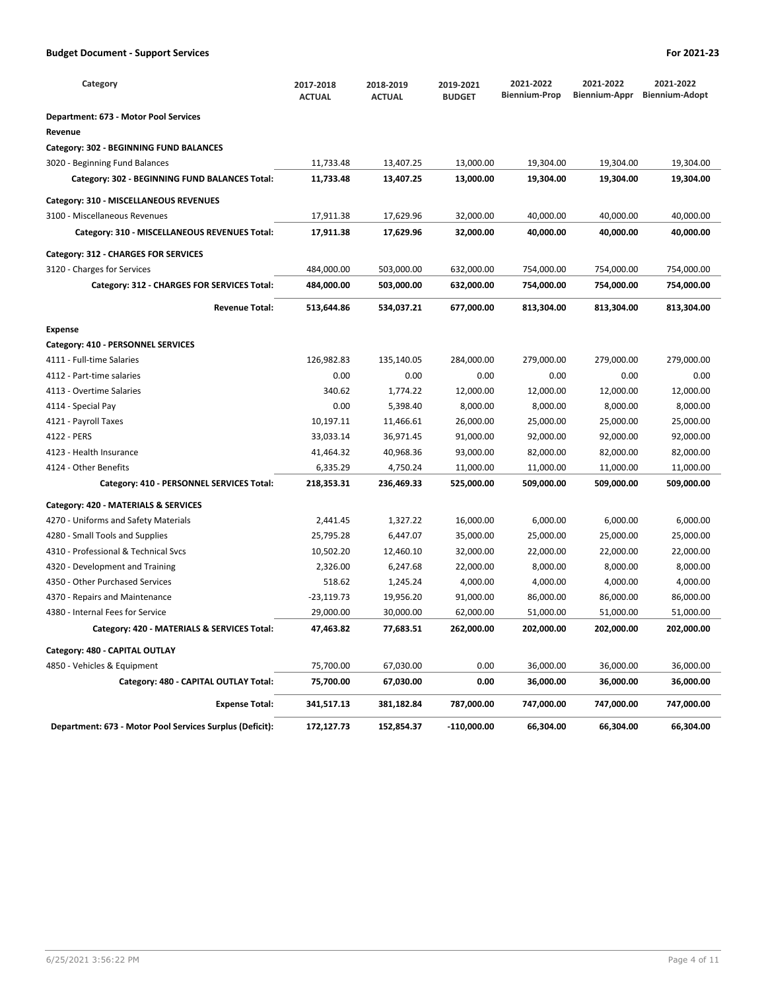| Category                                                 | 2017-2018<br><b>ACTUAL</b> | 2018-2019<br><b>ACTUAL</b> | 2019-2021<br><b>BUDGET</b> | 2021-2022<br><b>Biennium-Prop</b> | 2021-2022<br>Biennium-Appr | 2021-2022<br><b>Biennium-Adopt</b> |
|----------------------------------------------------------|----------------------------|----------------------------|----------------------------|-----------------------------------|----------------------------|------------------------------------|
| Department: 673 - Motor Pool Services                    |                            |                            |                            |                                   |                            |                                    |
| Revenue                                                  |                            |                            |                            |                                   |                            |                                    |
| Category: 302 - BEGINNING FUND BALANCES                  |                            |                            |                            |                                   |                            |                                    |
| 3020 - Beginning Fund Balances                           | 11,733.48                  | 13,407.25                  | 13,000.00                  | 19,304.00                         | 19,304.00                  | 19,304.00                          |
| Category: 302 - BEGINNING FUND BALANCES Total:           | 11,733.48                  | 13,407.25                  | 13,000.00                  | 19,304.00                         | 19,304.00                  | 19,304.00                          |
| Category: 310 - MISCELLANEOUS REVENUES                   |                            |                            |                            |                                   |                            |                                    |
| 3100 - Miscellaneous Revenues                            | 17,911.38                  | 17,629.96                  | 32,000.00                  | 40,000.00                         | 40,000.00                  | 40,000.00                          |
| Category: 310 - MISCELLANEOUS REVENUES Total:            | 17,911.38                  | 17,629.96                  | 32,000.00                  | 40,000.00                         | 40,000.00                  | 40,000.00                          |
| Category: 312 - CHARGES FOR SERVICES                     |                            |                            |                            |                                   |                            |                                    |
| 3120 - Charges for Services                              | 484,000.00                 | 503,000.00                 | 632,000.00                 | 754,000.00                        | 754,000.00                 | 754,000.00                         |
| Category: 312 - CHARGES FOR SERVICES Total:              | 484,000.00                 | 503,000.00                 | 632,000.00                 | 754,000.00                        | 754,000.00                 | 754,000.00                         |
| <b>Revenue Total:</b>                                    | 513,644.86                 | 534,037.21                 | 677,000.00                 | 813,304.00                        | 813,304.00                 | 813,304.00                         |
| Expense                                                  |                            |                            |                            |                                   |                            |                                    |
| Category: 410 - PERSONNEL SERVICES                       |                            |                            |                            |                                   |                            |                                    |
| 4111 - Full-time Salaries                                | 126,982.83                 | 135,140.05                 | 284,000.00                 | 279,000.00                        | 279,000.00                 | 279,000.00                         |
| 4112 - Part-time salaries                                | 0.00                       | 0.00                       | 0.00                       | 0.00                              | 0.00                       | 0.00                               |
| 4113 - Overtime Salaries                                 | 340.62                     | 1,774.22                   | 12,000.00                  | 12,000.00                         | 12,000.00                  | 12,000.00                          |
| 4114 - Special Pay                                       | 0.00                       | 5,398.40                   | 8,000.00                   | 8,000.00                          | 8,000.00                   | 8,000.00                           |
| 4121 - Payroll Taxes                                     | 10,197.11                  | 11,466.61                  | 26,000.00                  | 25,000.00                         | 25,000.00                  | 25,000.00                          |
| 4122 - PERS                                              | 33,033.14                  | 36,971.45                  | 91,000.00                  | 92,000.00                         | 92,000.00                  | 92,000.00                          |
| 4123 - Health Insurance                                  | 41,464.32                  | 40,968.36                  | 93,000.00                  | 82,000.00                         | 82,000.00                  | 82,000.00                          |
| 4124 - Other Benefits                                    | 6,335.29                   | 4,750.24                   | 11,000.00                  | 11,000.00                         | 11,000.00                  | 11,000.00                          |
| Category: 410 - PERSONNEL SERVICES Total:                | 218,353.31                 | 236,469.33                 | 525,000.00                 | 509,000.00                        | 509,000.00                 | 509,000.00                         |
| Category: 420 - MATERIALS & SERVICES                     |                            |                            |                            |                                   |                            |                                    |
| 4270 - Uniforms and Safety Materials                     | 2,441.45                   | 1,327.22                   | 16,000.00                  | 6,000.00                          | 6,000.00                   | 6,000.00                           |
| 4280 - Small Tools and Supplies                          | 25,795.28                  | 6,447.07                   | 35,000.00                  | 25,000.00                         | 25,000.00                  | 25,000.00                          |
| 4310 - Professional & Technical Svcs                     | 10,502.20                  | 12,460.10                  | 32,000.00                  | 22,000.00                         | 22,000.00                  | 22,000.00                          |
| 4320 - Development and Training                          | 2,326.00                   | 6,247.68                   | 22,000.00                  | 8,000.00                          | 8,000.00                   | 8,000.00                           |
| 4350 - Other Purchased Services                          | 518.62                     | 1,245.24                   | 4,000.00                   | 4,000.00                          | 4,000.00                   | 4,000.00                           |
| 4370 - Repairs and Maintenance                           | -23,119.73                 | 19,956.20                  | 91,000.00                  | 86,000.00                         | 86,000.00                  | 86,000.00                          |
| 4380 - Internal Fees for Service                         | 29,000.00                  | 30,000.00                  | 62,000.00                  | 51,000.00                         | 51,000.00                  | 51,000.00                          |
| Category: 420 - MATERIALS & SERVICES Total:              | 47,463.82                  | 77,683.51                  | 262,000.00                 | 202,000.00                        | 202,000.00                 | 202,000.00                         |
| Category: 480 - CAPITAL OUTLAY                           |                            |                            |                            |                                   |                            |                                    |
| 4850 - Vehicles & Equipment                              | 75,700.00                  | 67,030.00                  | 0.00                       | 36,000.00                         | 36,000.00                  | 36,000.00                          |
| Category: 480 - CAPITAL OUTLAY Total:                    | 75,700.00                  | 67,030.00                  | 0.00                       | 36,000.00                         | 36,000.00                  | 36,000.00                          |
| <b>Expense Total:</b>                                    | 341,517.13                 | 381,182.84                 | 787,000.00                 | 747,000.00                        | 747,000.00                 | 747,000.00                         |
| Department: 673 - Motor Pool Services Surplus (Deficit): | 172,127.73                 | 152,854.37                 | $-110,000.00$              | 66,304.00                         | 66,304.00                  | 66,304.00                          |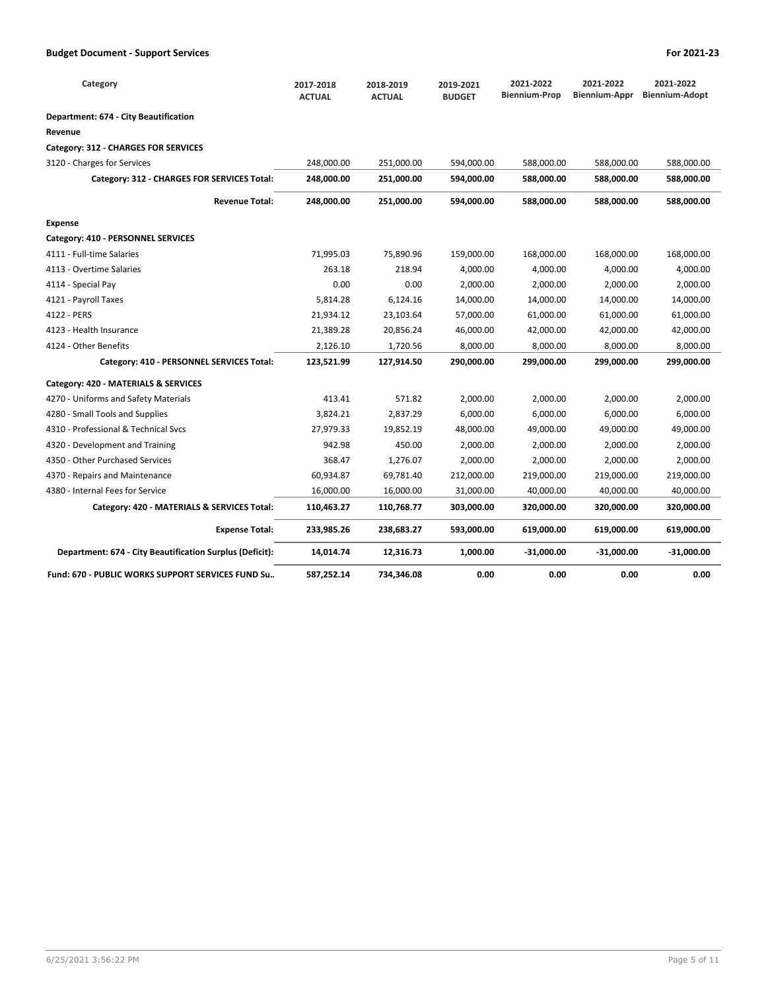| Category                                                 | 2017-2018<br><b>ACTUAL</b> | 2018-2019<br><b>ACTUAL</b> | 2019-2021<br><b>BUDGET</b> | 2021-2022<br><b>Biennium-Prop</b> | 2021-2022<br>Biennium-Appr | 2021-2022<br><b>Biennium-Adopt</b> |
|----------------------------------------------------------|----------------------------|----------------------------|----------------------------|-----------------------------------|----------------------------|------------------------------------|
| Department: 674 - City Beautification                    |                            |                            |                            |                                   |                            |                                    |
| Revenue                                                  |                            |                            |                            |                                   |                            |                                    |
| Category: 312 - CHARGES FOR SERVICES                     |                            |                            |                            |                                   |                            |                                    |
| 3120 - Charges for Services                              | 248,000.00                 | 251,000.00                 | 594,000.00                 | 588,000.00                        | 588,000.00                 | 588,000.00                         |
| Category: 312 - CHARGES FOR SERVICES Total:              | 248,000.00                 | 251,000.00                 | 594,000.00                 | 588,000.00                        | 588,000.00                 | 588,000.00                         |
| <b>Revenue Total:</b>                                    | 248,000.00                 | 251,000.00                 | 594,000.00                 | 588,000.00                        | 588,000.00                 | 588,000.00                         |
| <b>Expense</b>                                           |                            |                            |                            |                                   |                            |                                    |
| Category: 410 - PERSONNEL SERVICES                       |                            |                            |                            |                                   |                            |                                    |
| 4111 - Full-time Salaries                                | 71,995.03                  | 75,890.96                  | 159,000.00                 | 168,000.00                        | 168,000.00                 | 168,000.00                         |
| 4113 - Overtime Salaries                                 | 263.18                     | 218.94                     | 4,000.00                   | 4,000.00                          | 4,000.00                   | 4,000.00                           |
| 4114 - Special Pay                                       | 0.00                       | 0.00                       | 2,000.00                   | 2,000.00                          | 2,000.00                   | 2,000.00                           |
| 4121 - Payroll Taxes                                     | 5,814.28                   | 6,124.16                   | 14,000.00                  | 14,000.00                         | 14,000.00                  | 14,000.00                          |
| 4122 - PERS                                              | 21,934.12                  | 23,103.64                  | 57,000.00                  | 61,000.00                         | 61,000.00                  | 61,000.00                          |
| 4123 - Health Insurance                                  | 21,389.28                  | 20,856.24                  | 46,000.00                  | 42,000.00                         | 42,000.00                  | 42,000.00                          |
| 4124 - Other Benefits                                    | 2,126.10                   | 1,720.56                   | 8,000.00                   | 8,000.00                          | 8,000.00                   | 8,000.00                           |
| Category: 410 - PERSONNEL SERVICES Total:                | 123,521.99                 | 127,914.50                 | 290,000.00                 | 299,000.00                        | 299,000.00                 | 299,000.00                         |
| Category: 420 - MATERIALS & SERVICES                     |                            |                            |                            |                                   |                            |                                    |
| 4270 - Uniforms and Safety Materials                     | 413.41                     | 571.82                     | 2,000.00                   | 2,000.00                          | 2,000.00                   | 2,000.00                           |
| 4280 - Small Tools and Supplies                          | 3,824.21                   | 2,837.29                   | 6,000.00                   | 6,000.00                          | 6,000.00                   | 6,000.00                           |
| 4310 - Professional & Technical Sycs                     | 27,979.33                  | 19,852.19                  | 48,000.00                  | 49,000.00                         | 49,000.00                  | 49,000.00                          |
| 4320 - Development and Training                          | 942.98                     | 450.00                     | 2,000.00                   | 2,000.00                          | 2,000.00                   | 2,000.00                           |
| 4350 - Other Purchased Services                          | 368.47                     | 1,276.07                   | 2,000.00                   | 2,000.00                          | 2,000.00                   | 2,000.00                           |
| 4370 - Repairs and Maintenance                           | 60,934.87                  | 69,781.40                  | 212,000.00                 | 219,000.00                        | 219,000.00                 | 219,000.00                         |
| 4380 - Internal Fees for Service                         | 16,000.00                  | 16,000.00                  | 31,000.00                  | 40,000.00                         | 40,000.00                  | 40,000.00                          |
| Category: 420 - MATERIALS & SERVICES Total:              | 110,463.27                 | 110,768.77                 | 303,000.00                 | 320,000.00                        | 320,000.00                 | 320,000.00                         |
| <b>Expense Total:</b>                                    | 233,985.26                 | 238,683.27                 | 593,000.00                 | 619,000.00                        | 619,000.00                 | 619,000.00                         |
| Department: 674 - City Beautification Surplus (Deficit): | 14,014.74                  | 12,316.73                  | 1,000.00                   | $-31,000.00$                      | $-31,000.00$               | -31,000.00                         |
| Fund: 670 - PUBLIC WORKS SUPPORT SERVICES FUND Su        | 587,252.14                 | 734,346.08                 | 0.00                       | 0.00                              | 0.00                       | 0.00                               |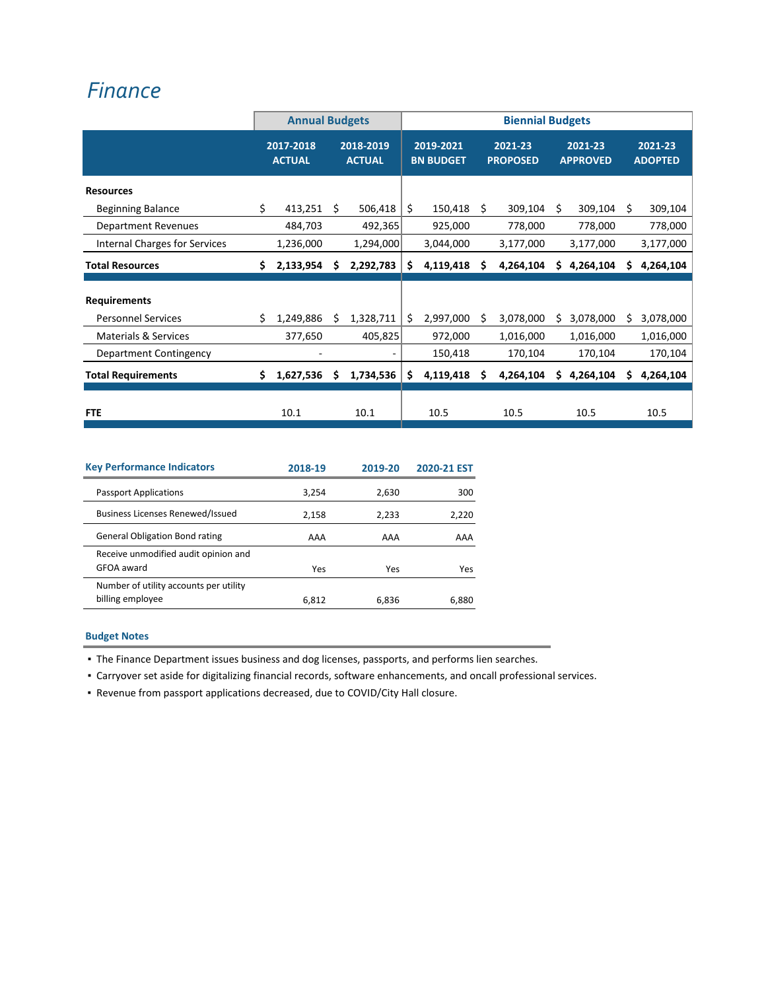## *[Finance](https://www.ci.oswego.or.us/finance/about-finance-department)*

|                                                  |    | <b>Annual Budgets</b>      |    |                            |    |                               |    | <b>Biennial Budgets</b>    |    |                            |    |                           |
|--------------------------------------------------|----|----------------------------|----|----------------------------|----|-------------------------------|----|----------------------------|----|----------------------------|----|---------------------------|
|                                                  |    | 2017-2018<br><b>ACTUAL</b> |    | 2018-2019<br><b>ACTUAL</b> |    | 2019-2021<br><b>BN BUDGET</b> |    | 2021-23<br><b>PROPOSED</b> |    | 2021-23<br><b>APPROVED</b> |    | 2021-23<br><b>ADOPTED</b> |
| <b>Resources</b>                                 |    |                            |    |                            |    |                               |    |                            |    |                            |    |                           |
| <b>Beginning Balance</b>                         | \$ | 413,251                    | Ŝ. | 506,418                    | \$ | 150,418                       | S  | 309,104                    | Ŝ. | 309,104                    | S  | 309,104                   |
| <b>Department Revenues</b>                       |    | 484,703                    |    | 492,365                    |    | 925,000                       |    | 778,000                    |    | 778,000                    |    | 778,000                   |
| Internal Charges for Services                    |    | 1,236,000                  |    | 1,294,000                  |    | 3,044,000                     |    | 3,177,000                  |    | 3,177,000                  |    | 3,177,000                 |
| <b>Total Resources</b>                           | Ś. | 2,133,954                  | S  | 2,292,783                  | Ś. | 4,119,418                     | Ś. | 4,264,104                  | Ś. | 4,264,104                  | Ś. | 4,264,104                 |
| <b>Requirements</b><br><b>Personnel Services</b> | Ś. | 1,249,886                  | S  | 1,328,711                  | Ś. | 2,997,000                     | S  | 3,078,000                  | S  | 3,078,000                  | Ś. | 3,078,000                 |
| <b>Materials &amp; Services</b>                  |    | 377,650                    |    | 405,825                    |    | 972,000                       |    | 1,016,000                  |    | 1,016,000                  |    | 1,016,000                 |
| Department Contingency                           |    |                            |    |                            |    | 150,418                       |    | 170,104                    |    | 170,104                    |    | 170,104                   |
| <b>Total Requirements</b>                        | Ś. | 1,627,536                  | Ś  | 1,734,536                  | Ś. | 4,119,418                     | S  | 4,264,104                  | Ś. | 4,264,104                  | \$ | 4,264,104                 |
| <b>FTE</b>                                       |    | 10.1                       |    | 10.1                       |    | 10.5                          |    | 10.5                       |    | 10.5                       |    | 10.5                      |

| <b>Key Performance Indicators</b>                          | 2018-19 | 2019-20 | 2020-21 EST |
|------------------------------------------------------------|---------|---------|-------------|
| <b>Passport Applications</b>                               | 3,254   | 2,630   | 300         |
| <b>Business Licenses Renewed/Issued</b>                    | 2,158   | 2,233   | 2,220       |
| <b>General Obligation Bond rating</b>                      | AAA     | AAA     | AAA         |
| Receive unmodified audit opinion and<br>GFOA award         | Yes     | Yes     | Yes         |
| Number of utility accounts per utility<br>billing employee | 6.812   | 6.836   | 6.880       |

## **Budget Notes**

▪ The Finance Department issues business and dog licenses, passports, and performs lien searches.

▪ Carryover set aside for digitalizing financial records, software enhancements, and oncall professional services.

▪ Revenue from passport applications decreased, due to COVID/City Hall closure.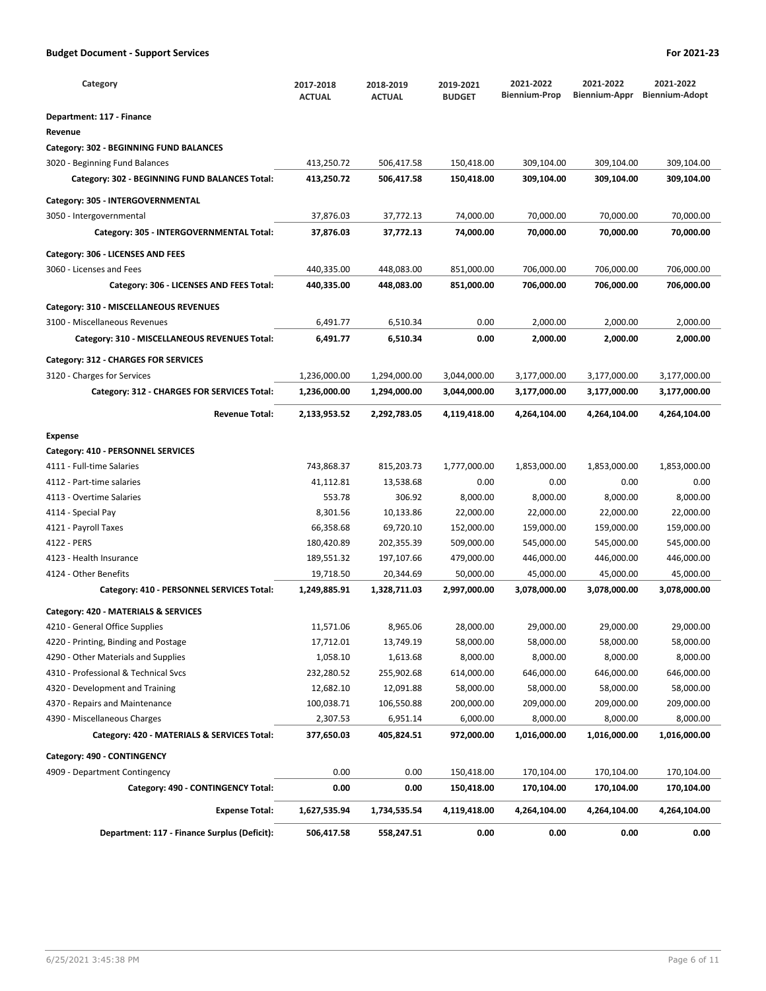| Category                                                                | 2017-2018<br><b>ACTUAL</b> | 2018-2019<br><b>ACTUAL</b> | 2019-2021<br><b>BUDGET</b> | 2021-2022<br><b>Biennium-Prop</b> | 2021-2022<br>Biennium-Appr | 2021-2022<br><b>Biennium-Adopt</b> |
|-------------------------------------------------------------------------|----------------------------|----------------------------|----------------------------|-----------------------------------|----------------------------|------------------------------------|
| Department: 117 - Finance                                               |                            |                            |                            |                                   |                            |                                    |
| Revenue                                                                 |                            |                            |                            |                                   |                            |                                    |
| Category: 302 - BEGINNING FUND BALANCES                                 |                            |                            |                            |                                   |                            |                                    |
| 3020 - Beginning Fund Balances                                          | 413,250.72                 | 506,417.58                 | 150,418.00                 | 309,104.00                        | 309,104.00                 | 309,104.00                         |
| Category: 302 - BEGINNING FUND BALANCES Total:                          | 413,250.72                 | 506,417.58                 | 150,418.00                 | 309,104.00                        | 309,104.00                 | 309,104.00                         |
| Category: 305 - INTERGOVERNMENTAL                                       |                            |                            |                            |                                   |                            |                                    |
| 3050 - Intergovernmental                                                | 37,876.03                  | 37,772.13                  | 74,000.00                  | 70,000.00                         | 70,000.00                  | 70,000.00                          |
| Category: 305 - INTERGOVERNMENTAL Total:                                | 37,876.03                  | 37,772.13                  | 74,000.00                  | 70,000.00                         | 70,000.00                  | 70,000.00                          |
| Category: 306 - LICENSES AND FEES                                       |                            |                            |                            |                                   |                            |                                    |
| 3060 - Licenses and Fees                                                | 440,335.00                 | 448,083.00                 | 851,000.00                 | 706,000.00                        | 706,000.00                 | 706,000.00                         |
| Category: 306 - LICENSES AND FEES Total:                                | 440,335.00                 | 448,083.00                 | 851,000.00                 | 706,000.00                        | 706,000.00                 | 706,000.00                         |
|                                                                         |                            |                            |                            |                                   |                            |                                    |
| Category: 310 - MISCELLANEOUS REVENUES<br>3100 - Miscellaneous Revenues | 6,491.77                   | 6,510.34                   | 0.00                       | 2,000.00                          | 2,000.00                   | 2,000.00                           |
| Category: 310 - MISCELLANEOUS REVENUES Total:                           | 6,491.77                   | 6,510.34                   | 0.00                       | 2,000.00                          | 2,000.00                   | 2,000.00                           |
|                                                                         |                            |                            |                            |                                   |                            |                                    |
| Category: 312 - CHARGES FOR SERVICES                                    |                            |                            |                            |                                   |                            |                                    |
| 3120 - Charges for Services                                             | 1,236,000.00               | 1,294,000.00               | 3,044,000.00               | 3,177,000.00                      | 3,177,000.00               | 3,177,000.00                       |
| Category: 312 - CHARGES FOR SERVICES Total:                             | 1,236,000.00               | 1,294,000.00               | 3,044,000.00               | 3,177,000.00                      | 3,177,000.00               | 3,177,000.00                       |
| <b>Revenue Total:</b>                                                   | 2,133,953.52               | 2,292,783.05               | 4,119,418.00               | 4,264,104.00                      | 4,264,104.00               | 4,264,104.00                       |
| <b>Expense</b>                                                          |                            |                            |                            |                                   |                            |                                    |
| Category: 410 - PERSONNEL SERVICES                                      |                            |                            |                            |                                   |                            |                                    |
| 4111 - Full-time Salaries                                               | 743,868.37                 | 815,203.73                 | 1,777,000.00               | 1,853,000.00                      | 1,853,000.00               | 1,853,000.00                       |
| 4112 - Part-time salaries                                               | 41,112.81                  | 13,538.68                  | 0.00                       | 0.00                              | 0.00                       | 0.00                               |
| 4113 - Overtime Salaries                                                | 553.78                     | 306.92                     | 8,000.00                   | 8,000.00                          | 8,000.00                   | 8,000.00                           |
| 4114 - Special Pay                                                      | 8,301.56                   | 10,133.86                  | 22,000.00                  | 22,000.00                         | 22,000.00                  | 22,000.00                          |
| 4121 - Payroll Taxes                                                    | 66,358.68                  | 69,720.10                  | 152,000.00                 | 159,000.00                        | 159,000.00                 | 159,000.00                         |
| 4122 - PERS                                                             | 180,420.89                 | 202,355.39                 | 509,000.00                 | 545,000.00                        | 545,000.00                 | 545,000.00                         |
| 4123 - Health Insurance                                                 | 189,551.32                 | 197,107.66                 | 479,000.00                 | 446,000.00                        | 446,000.00                 | 446,000.00                         |
| 4124 - Other Benefits                                                   | 19,718.50                  | 20,344.69                  | 50,000.00                  | 45,000.00                         | 45,000.00                  | 45,000.00                          |
| Category: 410 - PERSONNEL SERVICES Total:                               | 1,249,885.91               | 1,328,711.03               | 2,997,000.00               | 3,078,000.00                      | 3,078,000.00               | 3,078,000.00                       |
| Category: 420 - MATERIALS & SERVICES                                    |                            |                            |                            |                                   |                            |                                    |
| 4210 - General Office Supplies                                          | 11,571.06                  | 8,965.06                   | 28,000.00                  | 29,000.00                         | 29,000.00                  | 29,000.00                          |
| 4220 - Printing, Binding and Postage                                    | 17,712.01                  | 13,749.19                  | 58,000.00                  | 58,000.00                         | 58,000.00                  | 58,000.00                          |
| 4290 - Other Materials and Supplies                                     | 1,058.10                   | 1,613.68                   | 8,000.00                   | 8,000.00                          | 8,000.00                   | 8,000.00                           |
| 4310 - Professional & Technical Svcs                                    | 232,280.52                 | 255,902.68                 | 614,000.00                 | 646,000.00                        | 646,000.00                 | 646,000.00                         |
| 4320 - Development and Training                                         | 12,682.10                  | 12,091.88                  | 58,000.00                  | 58,000.00                         | 58,000.00                  | 58,000.00                          |
| 4370 - Repairs and Maintenance                                          | 100,038.71                 | 106,550.88                 | 200,000.00                 | 209,000.00                        | 209,000.00                 | 209,000.00                         |
| 4390 - Miscellaneous Charges                                            | 2,307.53                   | 6,951.14                   | 6,000.00                   | 8,000.00                          | 8,000.00                   | 8,000.00                           |
| Category: 420 - MATERIALS & SERVICES Total:                             | 377,650.03                 | 405,824.51                 | 972,000.00                 | 1,016,000.00                      | 1,016,000.00               | 1,016,000.00                       |
|                                                                         |                            |                            |                            |                                   |                            |                                    |
| Category: 490 - CONTINGENCY                                             |                            |                            |                            |                                   |                            |                                    |
| 4909 - Department Contingency                                           | 0.00                       | 0.00                       | 150,418.00                 | 170,104.00                        | 170,104.00                 | 170,104.00                         |
| Category: 490 - CONTINGENCY Total:                                      | 0.00                       | 0.00                       | 150,418.00                 | 170,104.00                        | 170,104.00                 | 170,104.00                         |
| <b>Expense Total:</b>                                                   | 1,627,535.94               | 1,734,535.54               | 4,119,418.00               | 4,264,104.00                      | 4,264,104.00               | 4,264,104.00                       |
| Department: 117 - Finance Surplus (Deficit):                            | 506,417.58                 | 558,247.51                 | 0.00                       | 0.00                              | 0.00                       | 0.00                               |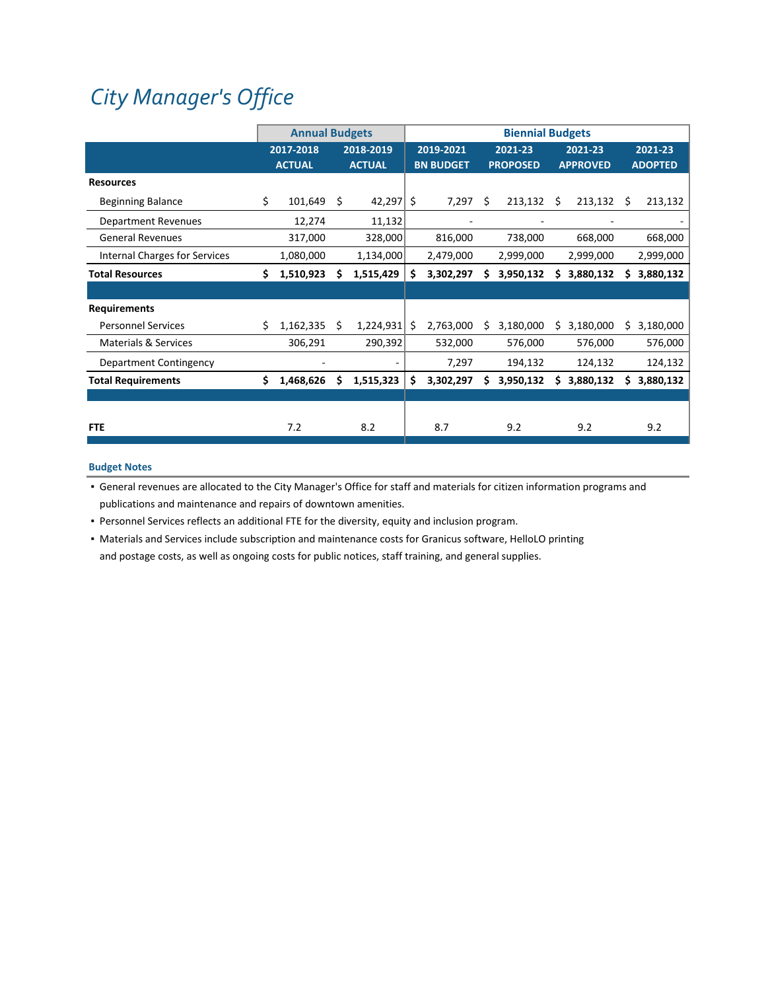# *City [Manager's](https://www.ci.oswego.or.us/citymanager/about-city-managers-office) Office*

|                                      |    | <b>Annual Budgets</b>      |    |                            | <b>Biennial Budgets</b><br>2019-2021<br>2021-23<br>2021-23<br><b>BN BUDGET</b><br><b>PROPOSED</b><br><b>APPROVED</b><br>\$<br>7,297<br>Ŝ.<br>213,132<br>\$<br>$213,132 \quad$ \$ |           |   |           |    |           |   |                           |
|--------------------------------------|----|----------------------------|----|----------------------------|----------------------------------------------------------------------------------------------------------------------------------------------------------------------------------|-----------|---|-----------|----|-----------|---|---------------------------|
|                                      |    | 2017-2018<br><b>ACTUAL</b> |    | 2018-2019<br><b>ACTUAL</b> |                                                                                                                                                                                  |           |   |           |    |           |   | 2021-23<br><b>ADOPTED</b> |
| <b>Resources</b>                     |    |                            |    |                            |                                                                                                                                                                                  |           |   |           |    |           |   |                           |
| <b>Beginning Balance</b>             | \$ | 101,649                    | \$ | 42,297                     |                                                                                                                                                                                  |           |   |           |    |           |   | 213,132                   |
| <b>Department Revenues</b>           |    | 12,274                     |    | 11,132                     |                                                                                                                                                                                  |           |   |           |    |           |   |                           |
| <b>General Revenues</b>              |    | 317,000                    |    | 328,000                    |                                                                                                                                                                                  | 816,000   |   | 738,000   |    | 668,000   |   | 668,000                   |
| <b>Internal Charges for Services</b> |    | 1,080,000                  |    | 1,134,000                  |                                                                                                                                                                                  | 2,479,000 |   | 2,999,000 |    | 2,999,000 |   | 2,999,000                 |
| <b>Total Resources</b>               | Ś. | 1,510,923                  | Ś  | 1,515,429                  | \$                                                                                                                                                                               | 3,302,297 | Ś | 3,950,132 | s  | 3,880,132 | s | 3,880,132                 |
|                                      |    |                            |    |                            |                                                                                                                                                                                  |           |   |           |    |           |   |                           |
| <b>Requirements</b>                  |    |                            |    |                            |                                                                                                                                                                                  |           |   |           |    |           |   |                           |
| <b>Personnel Services</b>            | Ś. | 1,162,335                  | Ś  | 1,224,931                  | Ŝ.                                                                                                                                                                               | 2,763,000 | S | 3,180,000 | S  | 3,180,000 |   | 3,180,000                 |
| <b>Materials &amp; Services</b>      |    | 306,291                    |    | 290,392                    |                                                                                                                                                                                  | 532,000   |   | 576,000   |    | 576,000   |   | 576,000                   |
| Department Contingency               |    |                            |    |                            |                                                                                                                                                                                  | 7,297     |   | 194,132   |    | 124,132   |   | 124,132                   |
| <b>Total Requirements</b>            | Ś. | 1,468,626                  | Ś  | 1,515,323                  | \$                                                                                                                                                                               | 3,302,297 | Ś | 3,950,132 | \$ | 3,880,132 |   | 3,880,132                 |
|                                      |    |                            |    |                            |                                                                                                                                                                                  |           |   |           |    |           |   |                           |
| <b>FTE</b>                           |    | 7.2                        |    | 8.2                        |                                                                                                                                                                                  | 8.7       |   | 9.2       |    | 9.2       |   | 9.2                       |

## **Budget Notes**

▪ General revenues are allocated to the City Manager's Office for staff and materials for citizen information programs and publications and maintenance and repairs of downtown amenities.

▪ Personnel Services reflects an additional FTE for the diversity, equity and inclusion program.

▪ Materials and Services include subscription and maintenance costs for Granicus software, HelloLO printing and postage costs, as well as ongoing costs for public notices, staff training, and general supplies.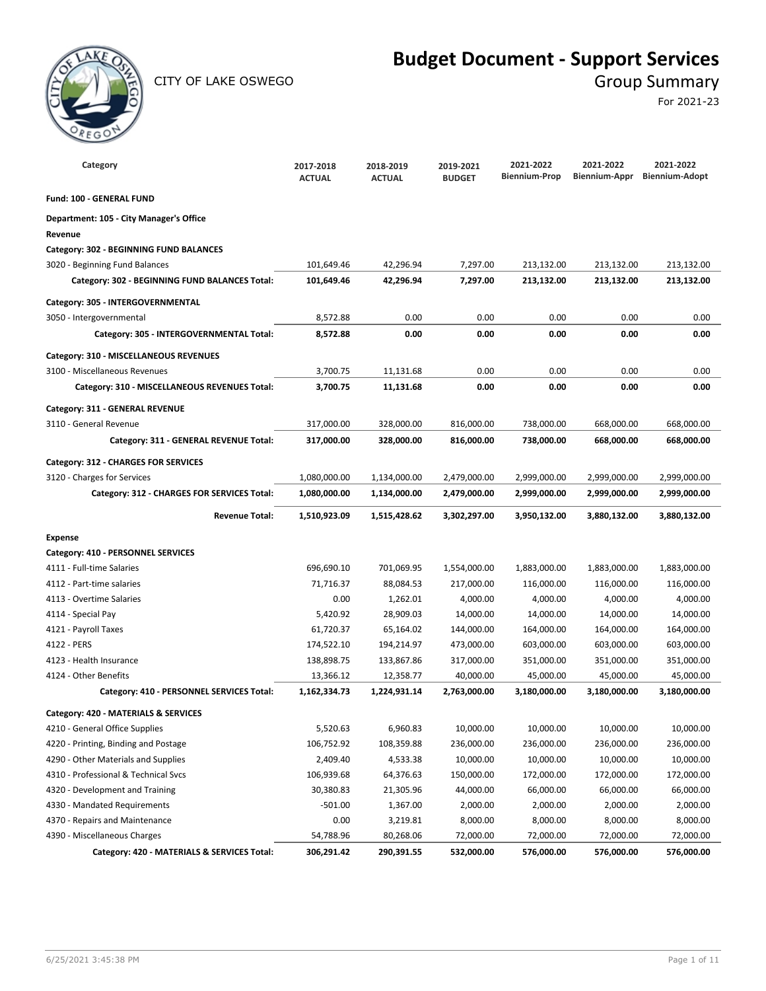

CITY OF LAKE OSWEGO GROUP SUMMARY

## **Budget Document - Support Services**

For 2021-23

| Category                                       | 2017-2018<br><b>ACTUAL</b> | 2018-2019<br><b>ACTUAL</b> | 2019-2021<br><b>BUDGET</b> | 2021-2022<br><b>Biennium-Prop</b> | 2021-2022<br>Biennium-Appr | 2021-2022<br><b>Biennium-Adopt</b> |
|------------------------------------------------|----------------------------|----------------------------|----------------------------|-----------------------------------|----------------------------|------------------------------------|
| Fund: 100 - GENERAL FUND                       |                            |                            |                            |                                   |                            |                                    |
| Department: 105 - City Manager's Office        |                            |                            |                            |                                   |                            |                                    |
| Revenue                                        |                            |                            |                            |                                   |                            |                                    |
| Category: 302 - BEGINNING FUND BALANCES        |                            |                            |                            |                                   |                            |                                    |
| 3020 - Beginning Fund Balances                 | 101,649.46                 | 42,296.94                  | 7,297.00                   | 213,132.00                        | 213,132.00                 | 213,132.00                         |
| Category: 302 - BEGINNING FUND BALANCES Total: | 101,649.46                 | 42,296.94                  | 7,297.00                   | 213,132.00                        | 213,132.00                 | 213,132.00                         |
| Category: 305 - INTERGOVERNMENTAL              |                            |                            |                            |                                   |                            |                                    |
| 3050 - Intergovernmental                       | 8,572.88                   | 0.00                       | 0.00                       | 0.00                              | 0.00                       | 0.00                               |
| Category: 305 - INTERGOVERNMENTAL Total:       | 8,572.88                   | 0.00                       | 0.00                       | 0.00                              | 0.00                       | 0.00                               |
| Category: 310 - MISCELLANEOUS REVENUES         |                            |                            |                            |                                   |                            |                                    |
| 3100 - Miscellaneous Revenues                  | 3,700.75                   | 11,131.68                  | 0.00                       | 0.00                              | 0.00                       | 0.00                               |
| Category: 310 - MISCELLANEOUS REVENUES Total:  | 3,700.75                   | 11,131.68                  | 0.00                       | 0.00                              | 0.00                       | 0.00                               |
| Category: 311 - GENERAL REVENUE                |                            |                            |                            |                                   |                            |                                    |
| 3110 - General Revenue                         | 317,000.00                 | 328,000.00                 | 816,000.00                 | 738,000.00                        | 668,000.00                 | 668,000.00                         |
| Category: 311 - GENERAL REVENUE Total:         | 317,000.00                 | 328,000.00                 | 816,000.00                 | 738,000.00                        | 668,000.00                 | 668,000.00                         |
| Category: 312 - CHARGES FOR SERVICES           |                            |                            |                            |                                   |                            |                                    |
| 3120 - Charges for Services                    | 1,080,000.00               | 1,134,000.00               | 2,479,000.00               | 2,999,000.00                      | 2,999,000.00               | 2,999,000.00                       |
| Category: 312 - CHARGES FOR SERVICES Total:    | 1,080,000.00               | 1,134,000.00               | 2,479,000.00               | 2,999,000.00                      | 2,999,000.00               | 2,999,000.00                       |
| <b>Revenue Total:</b>                          | 1,510,923.09               | 1,515,428.62               | 3,302,297.00               | 3,950,132.00                      | 3,880,132.00               | 3,880,132.00                       |
| <b>Expense</b>                                 |                            |                            |                            |                                   |                            |                                    |
| Category: 410 - PERSONNEL SERVICES             |                            |                            |                            |                                   |                            |                                    |
| 4111 - Full-time Salaries                      | 696,690.10                 | 701,069.95                 | 1,554,000.00               | 1,883,000.00                      | 1,883,000.00               | 1,883,000.00                       |
| 4112 - Part-time salaries                      | 71,716.37                  | 88,084.53                  | 217,000.00                 | 116,000.00                        | 116,000.00                 | 116,000.00                         |
| 4113 - Overtime Salaries                       | 0.00                       | 1,262.01                   | 4,000.00                   | 4,000.00                          | 4,000.00                   | 4,000.00                           |
| 4114 - Special Pay                             | 5,420.92                   | 28,909.03                  | 14,000.00                  | 14,000.00                         | 14,000.00                  | 14,000.00                          |
| 4121 - Payroll Taxes                           | 61,720.37                  | 65,164.02                  | 144,000.00                 | 164,000.00                        | 164,000.00                 | 164,000.00                         |
| 4122 - PERS                                    | 174,522.10                 | 194,214.97                 | 473,000.00                 | 603,000.00                        | 603,000.00                 | 603,000.00                         |
| 4123 - Health Insurance                        | 138,898.75                 | 133,867.86                 | 317,000.00                 | 351,000.00                        | 351,000.00                 | 351,000.00                         |
| 4124 - Other Benefits                          | 13,366.12                  | 12,358.77                  | 40,000.00                  | 45,000.00                         | 45,000.00                  | 45,000.00                          |
| Category: 410 - PERSONNEL SERVICES Total:      | 1,162,334.73               | 1,224,931.14               | 2,763,000.00               | 3,180,000.00                      | 3,180,000.00               | 3,180,000.00                       |
| Category: 420 - MATERIALS & SERVICES           |                            |                            |                            |                                   |                            |                                    |
| 4210 - General Office Supplies                 | 5,520.63                   | 6,960.83                   | 10,000.00                  | 10,000.00                         | 10,000.00                  | 10,000.00                          |
| 4220 - Printing, Binding and Postage           | 106,752.92                 | 108,359.88                 | 236,000.00                 | 236,000.00                        | 236,000.00                 | 236,000.00                         |
| 4290 - Other Materials and Supplies            | 2,409.40                   | 4,533.38                   | 10,000.00                  | 10,000.00                         | 10,000.00                  | 10,000.00                          |
| 4310 - Professional & Technical Svcs           | 106,939.68                 | 64,376.63                  | 150,000.00                 | 172,000.00                        | 172,000.00                 | 172,000.00                         |
| 4320 - Development and Training                | 30,380.83                  | 21,305.96                  | 44,000.00                  | 66,000.00                         | 66,000.00                  | 66,000.00                          |
| 4330 - Mandated Requirements                   | $-501.00$                  | 1,367.00                   | 2,000.00                   | 2,000.00                          | 2,000.00                   | 2,000.00                           |
| 4370 - Repairs and Maintenance                 | 0.00                       | 3,219.81                   | 8,000.00                   | 8,000.00                          | 8,000.00                   | 8,000.00                           |
| 4390 - Miscellaneous Charges                   | 54,788.96                  | 80,268.06                  | 72,000.00                  | 72,000.00                         | 72,000.00                  | 72,000.00                          |
| Category: 420 - MATERIALS & SERVICES Total:    | 306,291.42                 | 290,391.55                 | 532,000.00                 | 576,000.00                        | 576,000.00                 | 576,000.00                         |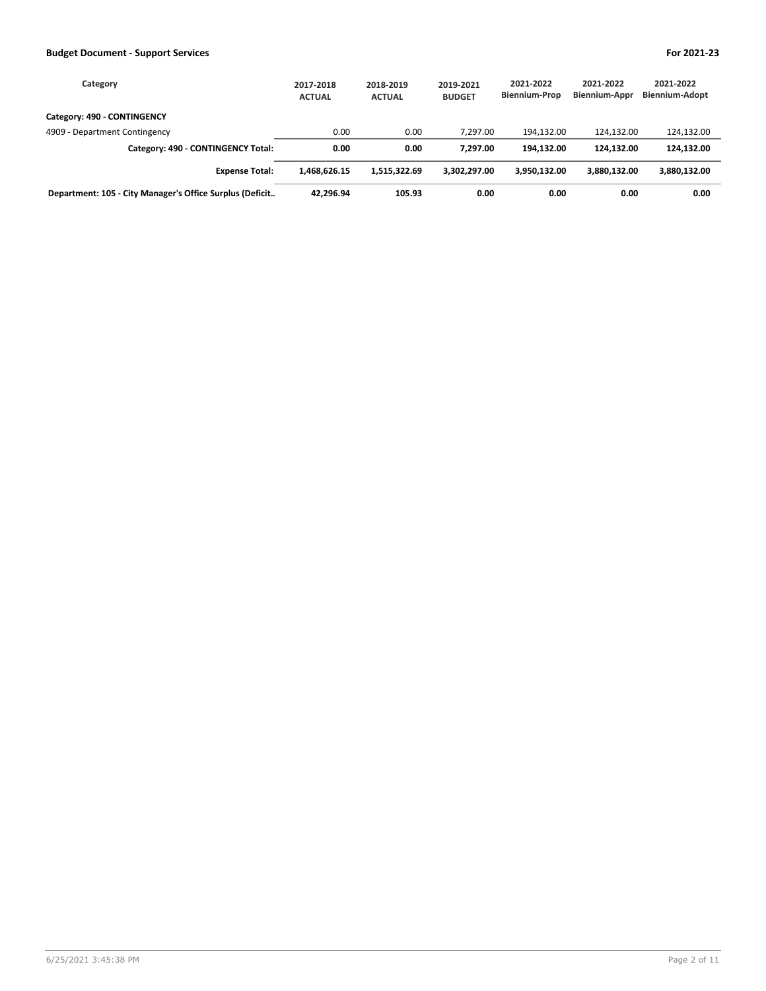| Category                                                 | 2017-2018<br><b>ACTUAL</b> | 2018-2019<br><b>ACTUAL</b> | 2019-2021<br><b>BUDGET</b> | 2021-2022<br><b>Biennium-Prop</b> | 2021-2022<br>Biennium-Appr | 2021-2022<br><b>Biennium-Adopt</b> |
|----------------------------------------------------------|----------------------------|----------------------------|----------------------------|-----------------------------------|----------------------------|------------------------------------|
| Category: 490 - CONTINGENCY                              |                            |                            |                            |                                   |                            |                                    |
| 4909 - Department Contingency                            | 0.00                       | 0.00                       | 7.297.00                   | 194.132.00                        | 124.132.00                 | 124,132.00                         |
| Category: 490 - CONTINGENCY Total:                       | 0.00                       | 0.00                       | 7.297.00                   | 194.132.00                        | 124.132.00                 | 124,132.00                         |
| <b>Expense Total:</b>                                    | 1.468.626.15               | 1.515.322.69               | 3.302.297.00               | 3,950,132.00                      | 3.880.132.00               | 3,880,132.00                       |
| Department: 105 - City Manager's Office Surplus (Deficit | 42.296.94                  | 105.93                     | 0.00                       | 0.00                              | 0.00                       | 0.00                               |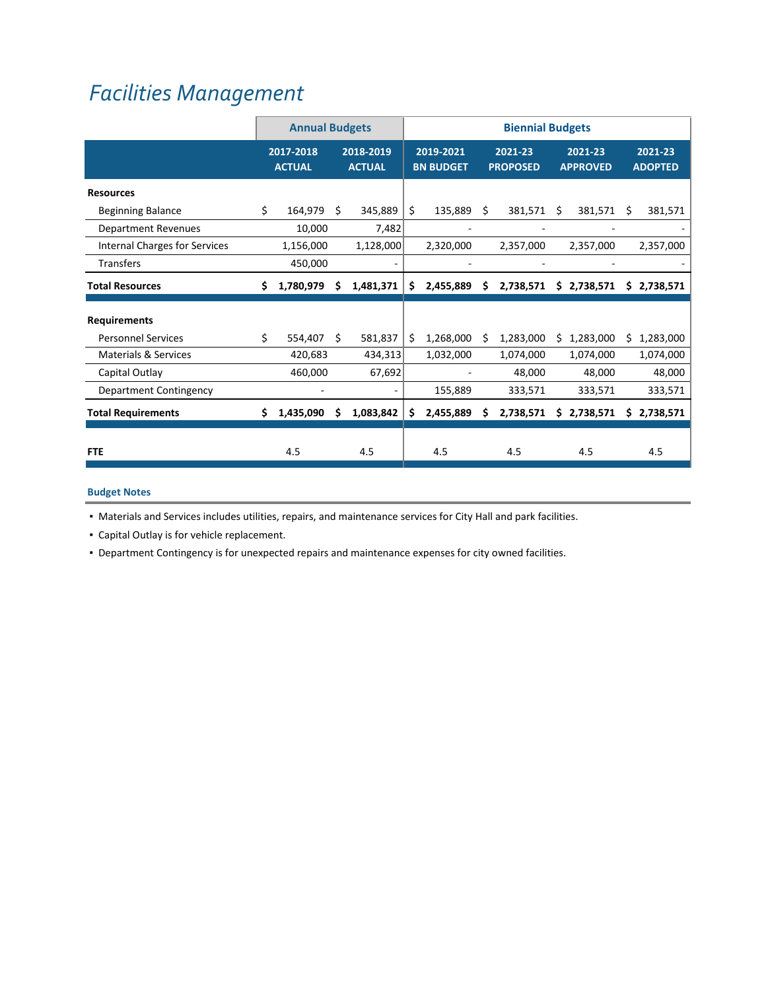## *Facilities [Management](https://www.ci.oswego.or.us/citymanager/facilities-division)*

|                                 |    | <b>Annual Budgets</b>      |    |                            | <b>Biennial Budgets</b><br>2019-2021<br>2021-23<br>2021-23<br><b>BN BUDGET</b><br><b>PROPOSED</b><br><b>APPROVED</b><br>\$<br>135,889<br>Ŝ.<br>381,571<br>\$<br>381,571<br>S<br>2,320,000<br>2,357,000<br>2,357,000<br>٠ |           |    |           |    |             |     |                           |
|---------------------------------|----|----------------------------|----|----------------------------|--------------------------------------------------------------------------------------------------------------------------------------------------------------------------------------------------------------------------|-----------|----|-----------|----|-------------|-----|---------------------------|
|                                 |    | 2017-2018<br><b>ACTUAL</b> |    | 2018-2019<br><b>ACTUAL</b> |                                                                                                                                                                                                                          |           |    |           |    |             |     | 2021-23<br><b>ADOPTED</b> |
| <b>Resources</b>                |    |                            |    |                            |                                                                                                                                                                                                                          |           |    |           |    |             |     |                           |
| <b>Beginning Balance</b>        | \$ | 164,979                    | \$ | 345,889                    |                                                                                                                                                                                                                          |           |    |           |    |             |     | 381,571                   |
| <b>Department Revenues</b>      |    | 10,000                     |    | 7,482                      |                                                                                                                                                                                                                          |           |    |           |    |             |     |                           |
| Internal Charges for Services   |    | 1,156,000                  |    | 1,128,000                  |                                                                                                                                                                                                                          |           |    |           |    |             |     | 2,357,000                 |
| <b>Transfers</b>                |    | 450,000                    |    |                            |                                                                                                                                                                                                                          |           |    |           |    |             |     |                           |
| <b>Total Resources</b>          | Ś. | 1,780,979                  | \$ | 1,481,371                  | \$                                                                                                                                                                                                                       | 2,455,889 | \$ | 2,738,571 |    | \$2,738,571 | \$. | 2,738,571                 |
| <b>Requirements</b>             |    |                            |    |                            |                                                                                                                                                                                                                          |           |    |           |    |             |     |                           |
| <b>Personnel Services</b>       | Ś. | 554,407                    | Ś. | 581,837                    | Ś.                                                                                                                                                                                                                       | 1,268,000 | S  | 1,283,000 | S  | 1,283,000   | Ś.  | 1,283,000                 |
| <b>Materials &amp; Services</b> |    | 420,683                    |    | 434,313                    |                                                                                                                                                                                                                          | 1,032,000 |    | 1,074,000 |    | 1,074,000   |     | 1,074,000                 |
| Capital Outlay                  |    | 460,000                    |    | 67,692                     |                                                                                                                                                                                                                          |           |    | 48,000    |    | 48,000      |     | 48,000                    |
| Department Contingency          |    |                            |    | ۰                          |                                                                                                                                                                                                                          | 155,889   |    | 333,571   |    | 333,571     |     | 333,571                   |
| <b>Total Requirements</b>       | Ś. | 1,435,090                  | S  | 1,083,842                  | \$                                                                                                                                                                                                                       | 2,455,889 | S  | 2,738,571 | \$ | 2,738,571   | S.  | 2,738,571                 |
| <b>FTE</b>                      |    | 4.5                        |    | 4.5                        |                                                                                                                                                                                                                          | 4.5       |    | 4.5       |    | 4.5         |     | 4.5                       |

## **Budget Notes**

▪ Materials and Services includes utilities, repairs, and maintenance services for City Hall and park facilities.

▪ Capital Outlay is for vehicle replacement.

▪ Department Contingency is for unexpected repairs and maintenance expenses for city owned facilities.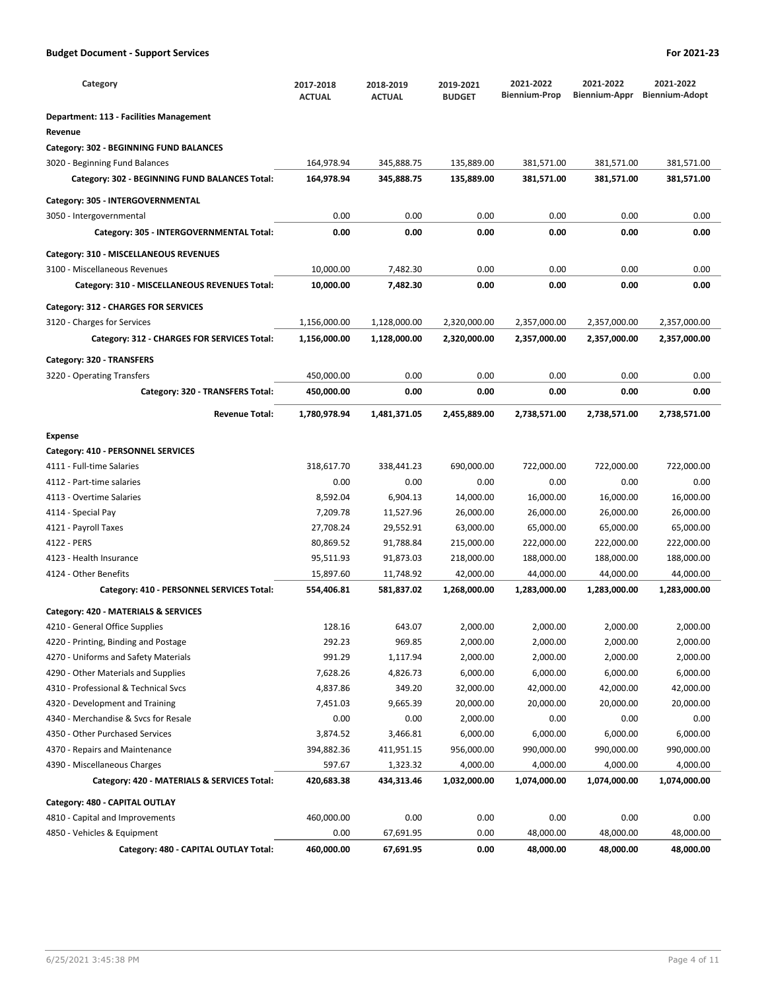| Category                                                                   | 2017-2018<br><b>ACTUAL</b>   | 2018-2019<br><b>ACTUAL</b>   | 2019-2021<br><b>BUDGET</b>   | 2021-2022<br><b>Biennium-Prop</b> | 2021-2022<br>Biennium-Appr   | 2021-2022<br><b>Biennium-Adopt</b> |
|----------------------------------------------------------------------------|------------------------------|------------------------------|------------------------------|-----------------------------------|------------------------------|------------------------------------|
| <b>Department: 113 - Facilities Management</b>                             |                              |                              |                              |                                   |                              |                                    |
| Revenue                                                                    |                              |                              |                              |                                   |                              |                                    |
| Category: 302 - BEGINNING FUND BALANCES                                    |                              |                              |                              |                                   |                              |                                    |
| 3020 - Beginning Fund Balances                                             | 164,978.94                   | 345,888.75                   | 135,889.00                   | 381,571.00                        | 381,571.00                   | 381,571.00                         |
| Category: 302 - BEGINNING FUND BALANCES Total:                             | 164,978.94                   | 345,888.75                   | 135,889.00                   | 381,571.00                        | 381,571.00                   | 381,571.00                         |
| Category: 305 - INTERGOVERNMENTAL                                          |                              |                              |                              |                                   |                              |                                    |
| 3050 - Intergovernmental                                                   | 0.00                         | 0.00                         | 0.00                         | 0.00                              | 0.00                         | 0.00                               |
| Category: 305 - INTERGOVERNMENTAL Total:                                   | 0.00                         | 0.00                         | 0.00                         | 0.00                              | 0.00                         | 0.00                               |
| Category: 310 - MISCELLANEOUS REVENUES                                     |                              |                              |                              |                                   |                              |                                    |
| 3100 - Miscellaneous Revenues                                              | 10,000.00                    | 7,482.30                     | 0.00                         | 0.00                              | 0.00                         | 0.00                               |
| Category: 310 - MISCELLANEOUS REVENUES Total:                              | 10,000.00                    | 7,482.30                     | 0.00                         | 0.00                              | 0.00                         | 0.00                               |
|                                                                            |                              |                              |                              |                                   |                              |                                    |
| Category: 312 - CHARGES FOR SERVICES                                       |                              |                              |                              |                                   |                              |                                    |
| 3120 - Charges for Services<br>Category: 312 - CHARGES FOR SERVICES Total: | 1,156,000.00<br>1,156,000.00 | 1,128,000.00<br>1,128,000.00 | 2,320,000.00<br>2,320,000.00 | 2,357,000.00<br>2,357,000.00      | 2,357,000.00<br>2,357,000.00 | 2,357,000.00<br>2,357,000.00       |
|                                                                            |                              |                              |                              |                                   |                              |                                    |
| Category: 320 - TRANSFERS                                                  |                              |                              |                              |                                   |                              |                                    |
| 3220 - Operating Transfers                                                 | 450,000.00                   | 0.00                         | 0.00                         | 0.00                              | 0.00                         | 0.00                               |
| Category: 320 - TRANSFERS Total:                                           | 450,000.00                   | 0.00                         | 0.00                         | 0.00                              | 0.00                         | 0.00                               |
| <b>Revenue Total:</b>                                                      | 1,780,978.94                 | 1,481,371.05                 | 2,455,889.00                 | 2,738,571.00                      | 2,738,571.00                 | 2,738,571.00                       |
| <b>Expense</b>                                                             |                              |                              |                              |                                   |                              |                                    |
| Category: 410 - PERSONNEL SERVICES                                         |                              |                              |                              |                                   |                              |                                    |
| 4111 - Full-time Salaries                                                  | 318,617.70                   | 338,441.23                   | 690,000.00                   | 722,000.00                        | 722,000.00                   | 722,000.00                         |
| 4112 - Part-time salaries                                                  | 0.00                         | 0.00                         | 0.00                         | 0.00                              | 0.00                         | 0.00                               |
| 4113 - Overtime Salaries                                                   | 8,592.04                     | 6,904.13                     | 14,000.00                    | 16,000.00                         | 16,000.00                    | 16,000.00                          |
| 4114 - Special Pay                                                         | 7,209.78                     | 11,527.96                    | 26,000.00                    | 26,000.00                         | 26,000.00                    | 26,000.00                          |
| 4121 - Payroll Taxes                                                       | 27,708.24                    | 29,552.91                    | 63,000.00                    | 65,000.00                         | 65,000.00                    | 65,000.00                          |
| 4122 - PERS                                                                | 80,869.52                    | 91,788.84                    | 215,000.00                   | 222,000.00                        | 222,000.00                   | 222,000.00                         |
| 4123 - Health Insurance                                                    | 95,511.93                    | 91,873.03                    | 218,000.00                   | 188,000.00                        | 188,000.00                   | 188,000.00                         |
| 4124 - Other Benefits                                                      | 15,897.60                    | 11,748.92                    | 42,000.00                    | 44,000.00                         | 44,000.00                    | 44,000.00                          |
| Category: 410 - PERSONNEL SERVICES Total:                                  | 554,406.81                   | 581,837.02                   | 1,268,000.00                 | 1,283,000.00                      | 1,283,000.00                 | 1,283,000.00                       |
| Category: 420 - MATERIALS & SERVICES                                       |                              |                              |                              |                                   |                              |                                    |
| 4210 - General Office Supplies                                             | 128.16                       | 643.07                       | 2,000.00                     | 2,000.00                          | 2,000.00                     | 2,000.00                           |
| 4220 - Printing, Binding and Postage                                       | 292.23                       | 969.85                       | 2,000.00                     | 2,000.00                          | 2,000.00                     | 2,000.00                           |
| 4270 - Uniforms and Safety Materials                                       | 991.29                       | 1,117.94                     | 2,000.00                     | 2,000.00                          | 2,000.00                     | 2,000.00                           |
| 4290 - Other Materials and Supplies                                        | 7,628.26                     | 4,826.73                     | 6,000.00                     | 6,000.00                          | 6,000.00                     | 6,000.00                           |
| 4310 - Professional & Technical Svcs                                       | 4,837.86                     | 349.20                       | 32,000.00                    | 42,000.00                         | 42,000.00                    | 42,000.00                          |
| 4320 - Development and Training                                            | 7,451.03                     | 9,665.39                     | 20,000.00                    | 20,000.00                         | 20,000.00                    | 20,000.00                          |
| 4340 - Merchandise & Svcs for Resale                                       | 0.00                         | 0.00                         | 2,000.00                     | 0.00                              | 0.00                         | 0.00                               |
| 4350 - Other Purchased Services                                            | 3,874.52                     | 3,466.81                     | 6,000.00                     | 6,000.00                          | 6,000.00                     | 6,000.00                           |
| 4370 - Repairs and Maintenance                                             | 394,882.36                   | 411,951.15                   | 956,000.00                   | 990,000.00                        | 990,000.00                   | 990,000.00                         |
| 4390 - Miscellaneous Charges                                               | 597.67                       | 1,323.32                     | 4,000.00                     | 4,000.00                          | 4,000.00                     | 4,000.00                           |
| Category: 420 - MATERIALS & SERVICES Total:                                | 420,683.38                   | 434,313.46                   | 1,032,000.00                 | 1,074,000.00                      | 1,074,000.00                 | 1,074,000.00                       |
| Category: 480 - CAPITAL OUTLAY                                             |                              |                              |                              |                                   |                              |                                    |
| 4810 - Capital and Improvements                                            | 460,000.00                   | 0.00                         | 0.00                         | 0.00                              | 0.00                         | 0.00                               |
| 4850 - Vehicles & Equipment                                                | 0.00                         | 67,691.95                    | 0.00                         | 48,000.00                         | 48,000.00                    | 48,000.00                          |
| Category: 480 - CAPITAL OUTLAY Total:                                      | 460,000.00                   | 67,691.95                    | 0.00                         | 48,000.00                         | 48,000.00                    | 48,000.00                          |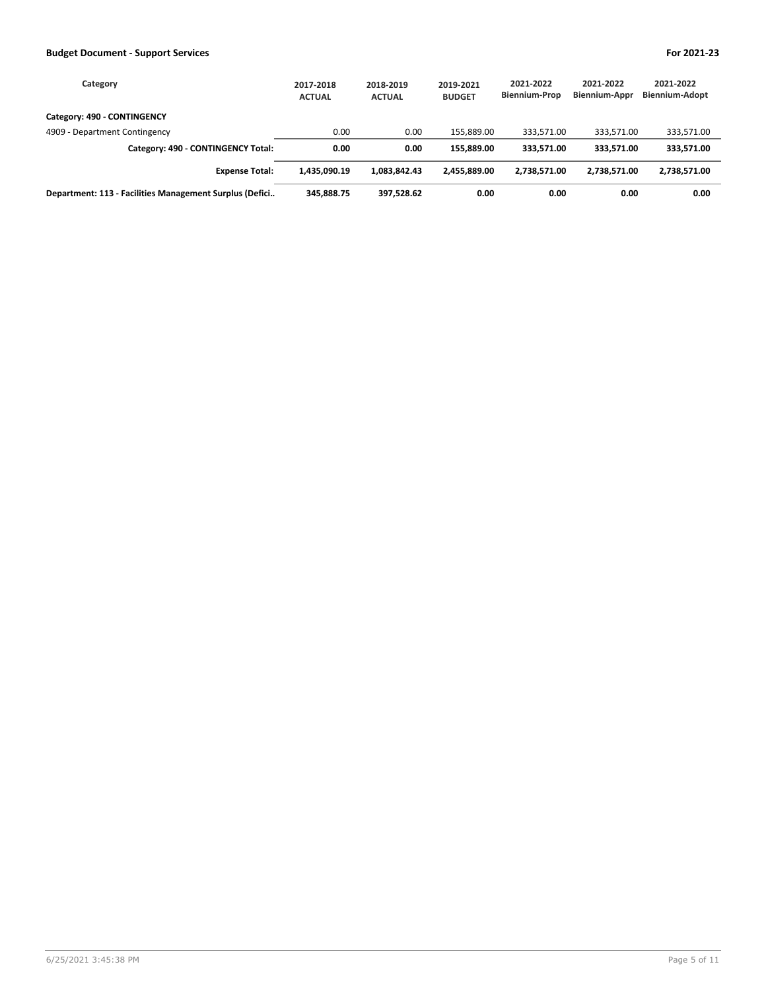| Category                                                | 2017-2018<br><b>ACTUAL</b> | 2018-2019<br><b>ACTUAL</b> | 2019-2021<br><b>BUDGET</b> | 2021-2022<br><b>Biennium-Prop</b> | 2021-2022<br><b>Biennium-Appr</b> | 2021-2022<br><b>Biennium-Adopt</b> |
|---------------------------------------------------------|----------------------------|----------------------------|----------------------------|-----------------------------------|-----------------------------------|------------------------------------|
| Category: 490 - CONTINGENCY                             |                            |                            |                            |                                   |                                   |                                    |
| 4909 - Department Contingency                           | 0.00                       | 0.00                       | 155.889.00                 | 333,571.00                        | 333,571.00                        | 333,571.00                         |
| Category: 490 - CONTINGENCY Total:                      | 0.00                       | 0.00                       | 155.889.00                 | 333.571.00                        | 333.571.00                        | 333,571.00                         |
| <b>Expense Total:</b>                                   | 1,435,090.19               | 1.083.842.43               | 2.455.889.00               | 2.738.571.00                      | 2.738.571.00                      | 2,738,571.00                       |
| Department: 113 - Facilities Management Surplus (Defici | 345.888.75                 | 397,528.62                 | 0.00                       | 0.00                              | 0.00                              | 0.00                               |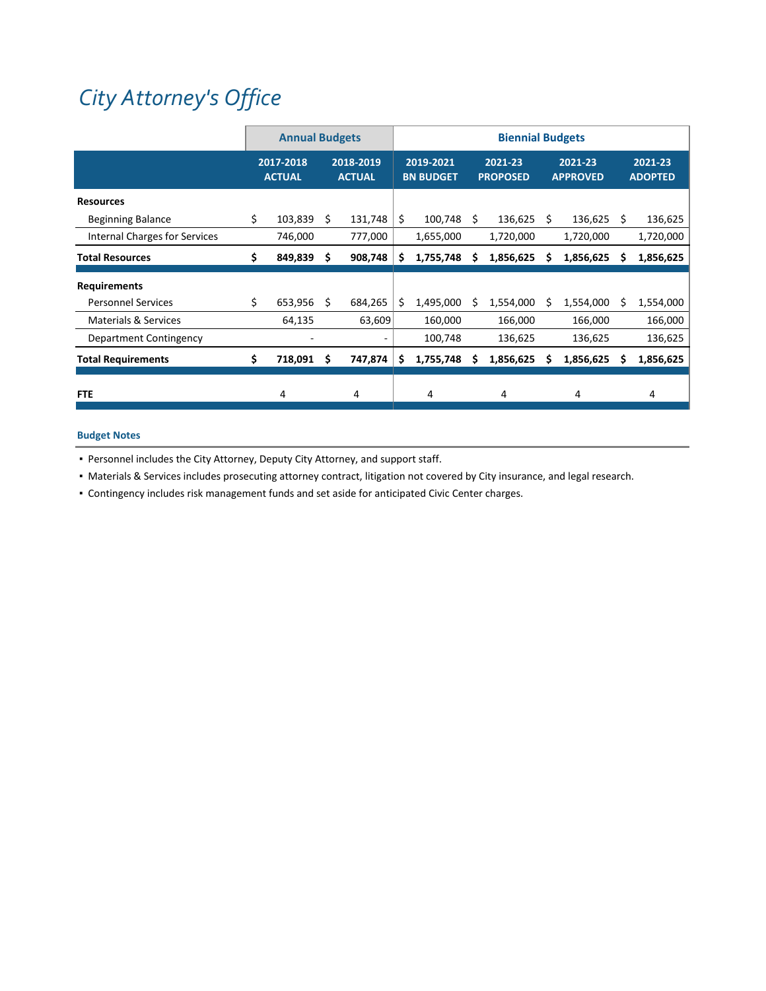# *City [Attorney's](https://www.ci.oswego.or.us/cityattorney/about-city-attorney) Office*

|                                      |    | <b>Annual Budgets</b>      |    |                            |    |                               |    | <b>Biennial Budgets</b>    |    |                            |    |                           |
|--------------------------------------|----|----------------------------|----|----------------------------|----|-------------------------------|----|----------------------------|----|----------------------------|----|---------------------------|
|                                      |    | 2017-2018<br><b>ACTUAL</b> |    | 2018-2019<br><b>ACTUAL</b> |    | 2019-2021<br><b>BN BUDGET</b> |    | 2021-23<br><b>PROPOSED</b> |    | 2021-23<br><b>APPROVED</b> |    | 2021-23<br><b>ADOPTED</b> |
| <b>Resources</b>                     |    |                            |    |                            |    |                               |    |                            |    |                            |    |                           |
| <b>Beginning Balance</b>             | \$ | 103,839                    | Ŝ. | 131,748                    | \$ | 100,748                       | Ŝ. | 136,625                    | Ś. | 136,625                    | Ŝ. | 136,625                   |
| <b>Internal Charges for Services</b> |    | 746,000                    |    | 777,000                    |    | 1,655,000                     |    | 1,720,000                  |    | 1,720,000                  |    | 1,720,000                 |
| <b>Total Resources</b>               | Ś. | 849,839                    | Ŝ. | 908,748                    | S  | 1,755,748                     | s  | 1,856,625                  | S  | 1,856,625                  | S  | 1,856,625                 |
| <b>Requirements</b>                  |    |                            |    |                            |    |                               |    |                            |    |                            |    |                           |
| <b>Personnel Services</b>            | \$ | 653,956                    | S  | 684,265                    | Ś  | 1,495,000                     | S  | 1,554,000                  | S  | 1,554,000                  | S  | 1,554,000                 |
| <b>Materials &amp; Services</b>      |    | 64,135                     |    | 63,609                     |    | 160,000                       |    | 166,000                    |    | 166,000                    |    | 166,000                   |
| Department Contingency               |    |                            |    |                            |    | 100,748                       |    | 136,625                    |    | 136,625                    |    | 136,625                   |
| <b>Total Requirements</b>            | Ś. | 718,091                    | S  | 747,874                    | S  | 1,755,748                     | s  | 1,856,625                  | S  | 1,856,625                  | s  | 1,856,625                 |
| <b>FTE</b>                           |    | 4                          |    | 4                          |    | 4                             |    | 4                          |    | 4                          |    | 4                         |

## **Budget Notes**

▪ Personnel includes the City Attorney, Deputy City Attorney, and support staff.

▪ Materials & Services includes prosecuting attorney contract, litigation not covered by City insurance, and legal research.

▪ Contingency includes risk management funds and set aside for anticipated Civic Center charges.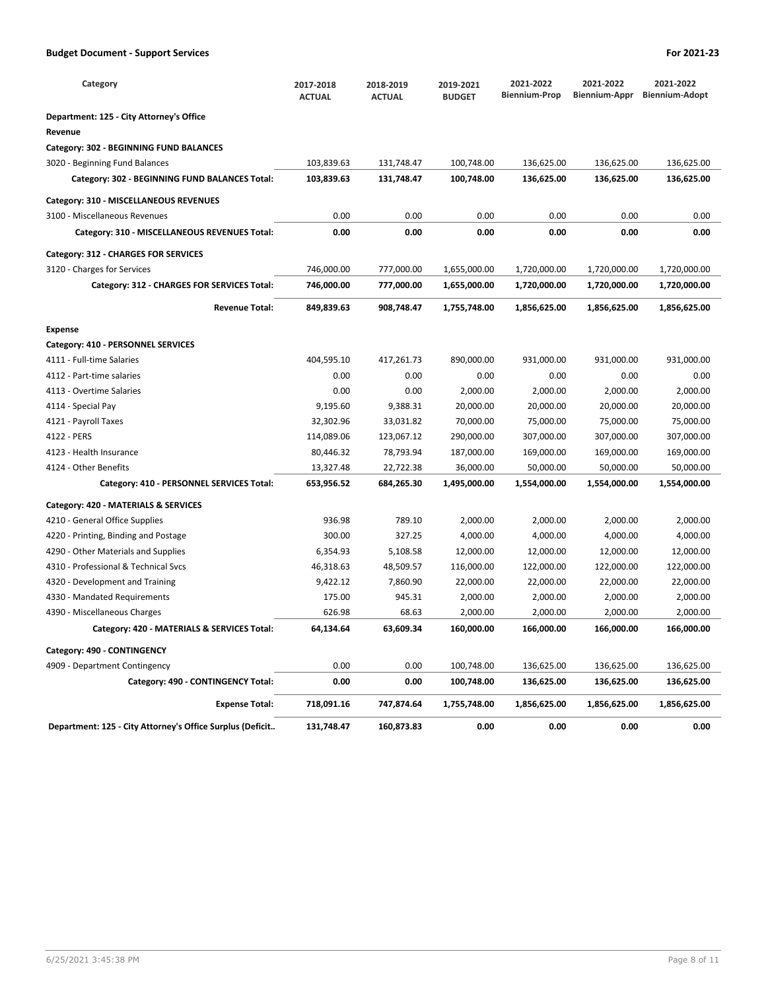| Category                                                  | 2017-2018<br><b>ACTUAL</b> | 2018-2019<br><b>ACTUAL</b> | 2019-2021<br><b>BUDGET</b> | 2021-2022<br><b>Biennium-Prop</b> | 2021-2022<br>Biennium-Appr | 2021-2022<br><b>Biennium-Adopt</b> |
|-----------------------------------------------------------|----------------------------|----------------------------|----------------------------|-----------------------------------|----------------------------|------------------------------------|
| Department: 125 - City Attorney's Office                  |                            |                            |                            |                                   |                            |                                    |
| Revenue                                                   |                            |                            |                            |                                   |                            |                                    |
| Category: 302 - BEGINNING FUND BALANCES                   |                            |                            |                            |                                   |                            |                                    |
| 3020 - Beginning Fund Balances                            | 103,839.63                 | 131,748.47                 | 100,748.00                 | 136,625.00                        | 136,625.00                 | 136,625.00                         |
| Category: 302 - BEGINNING FUND BALANCES Total:            | 103,839.63                 | 131,748.47                 | 100,748.00                 | 136,625.00                        | 136,625.00                 | 136,625.00                         |
| Category: 310 - MISCELLANEOUS REVENUES                    |                            |                            |                            |                                   |                            |                                    |
| 3100 - Miscellaneous Revenues                             | 0.00                       | 0.00                       | 0.00                       | 0.00                              | 0.00                       | 0.00                               |
| Category: 310 - MISCELLANEOUS REVENUES Total:             | 0.00                       | 0.00                       | 0.00                       | 0.00                              | 0.00                       | 0.00                               |
| Category: 312 - CHARGES FOR SERVICES                      |                            |                            |                            |                                   |                            |                                    |
| 3120 - Charges for Services                               | 746,000.00                 | 777,000.00                 | 1,655,000.00               | 1,720,000.00                      | 1,720,000.00               | 1,720,000.00                       |
| Category: 312 - CHARGES FOR SERVICES Total:               | 746,000.00                 | 777,000.00                 | 1,655,000.00               | 1,720,000.00                      | 1,720,000.00               | 1,720,000.00                       |
| <b>Revenue Total:</b>                                     | 849,839.63                 | 908,748.47                 | 1,755,748.00               | 1,856,625.00                      | 1,856,625.00               | 1,856,625.00                       |
| <b>Expense</b>                                            |                            |                            |                            |                                   |                            |                                    |
| Category: 410 - PERSONNEL SERVICES                        |                            |                            |                            |                                   |                            |                                    |
| 4111 - Full-time Salaries                                 | 404,595.10                 | 417,261.73                 | 890,000.00                 | 931,000.00                        | 931,000.00                 | 931,000.00                         |
| 4112 - Part-time salaries                                 | 0.00                       | 0.00                       | 0.00                       | 0.00                              | 0.00                       | 0.00                               |
| 4113 - Overtime Salaries                                  | 0.00                       | 0.00                       | 2,000.00                   | 2,000.00                          | 2,000.00                   | 2,000.00                           |
| 4114 - Special Pay                                        | 9,195.60                   | 9,388.31                   | 20,000.00                  | 20,000.00                         | 20,000.00                  | 20,000.00                          |
| 4121 - Payroll Taxes                                      | 32,302.96                  | 33,031.82                  | 70,000.00                  | 75,000.00                         | 75,000.00                  | 75,000.00                          |
| 4122 - PERS                                               | 114,089.06                 | 123,067.12                 | 290,000.00                 | 307,000.00                        | 307,000.00                 | 307,000.00                         |
| 4123 - Health Insurance                                   | 80,446.32                  | 78,793.94                  | 187,000.00                 | 169,000.00                        | 169,000.00                 | 169,000.00                         |
| 4124 - Other Benefits                                     | 13,327.48                  | 22,722.38                  | 36,000.00                  | 50,000.00                         | 50,000.00                  | 50,000.00                          |
| Category: 410 - PERSONNEL SERVICES Total:                 | 653,956.52                 | 684,265.30                 | 1,495,000.00               | 1,554,000.00                      | 1,554,000.00               | 1,554,000.00                       |
| Category: 420 - MATERIALS & SERVICES                      |                            |                            |                            |                                   |                            |                                    |
| 4210 - General Office Supplies                            | 936.98                     | 789.10                     | 2,000.00                   | 2,000.00                          | 2,000.00                   | 2,000.00                           |
| 4220 - Printing, Binding and Postage                      | 300.00                     | 327.25                     | 4,000.00                   | 4,000.00                          | 4,000.00                   | 4,000.00                           |
| 4290 - Other Materials and Supplies                       | 6,354.93                   | 5,108.58                   | 12,000.00                  | 12,000.00                         | 12,000.00                  | 12,000.00                          |
| 4310 - Professional & Technical Svcs                      | 46,318.63                  | 48,509.57                  | 116,000.00                 | 122,000.00                        | 122,000.00                 | 122,000.00                         |
| 4320 - Development and Training                           | 9,422.12                   | 7,860.90                   | 22,000.00                  | 22,000.00                         | 22,000.00                  | 22,000.00                          |
| 4330 - Mandated Requirements                              | 175.00                     | 945.31                     | 2,000.00                   | 2,000.00                          | 2,000.00                   | 2,000.00                           |
| 4390 - Miscellaneous Charges                              | 626.98                     | 68.63                      | 2,000.00                   | 2,000.00                          | 2,000.00                   | 2,000.00                           |
| Category: 420 - MATERIALS & SERVICES Total:               | 64,134.64                  | 63,609.34                  | 160,000.00                 | 166,000.00                        | 166,000.00                 | 166,000.00                         |
| Category: 490 - CONTINGENCY                               |                            |                            |                            |                                   |                            |                                    |
| 4909 - Department Contingency                             | 0.00                       | 0.00                       | 100,748.00                 | 136,625.00                        | 136,625.00                 | 136,625.00                         |
| Category: 490 - CONTINGENCY Total:                        | 0.00                       | 0.00                       | 100,748.00                 | 136,625.00                        | 136,625.00                 | 136,625.00                         |
| <b>Expense Total:</b>                                     | 718,091.16                 | 747,874.64                 | 1,755,748.00               | 1,856,625.00                      | 1,856,625.00               | 1,856,625.00                       |
| Department: 125 - City Attorney's Office Surplus (Deficit | 131,748.47                 | 160,873.83                 | 0.00                       | 0.00                              | 0.00                       | 0.00                               |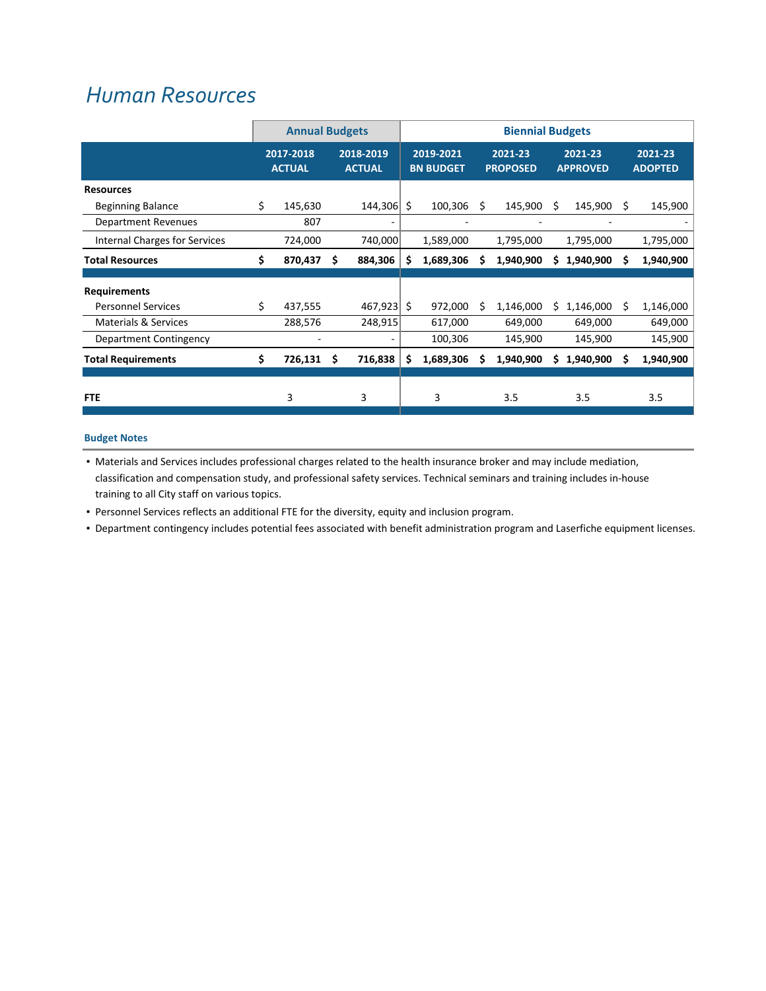## *Human [Resources](https://www.ci.oswego.or.us/hr/about-human-resources-0)*

|                                 |                            | <b>Annual Budgets</b> |                            |              |                               | <b>Biennial Budgets</b> |                            |           |                            |           |    |                           |
|---------------------------------|----------------------------|-----------------------|----------------------------|--------------|-------------------------------|-------------------------|----------------------------|-----------|----------------------------|-----------|----|---------------------------|
|                                 | 2017-2018<br><b>ACTUAL</b> |                       | 2018-2019<br><b>ACTUAL</b> |              | 2019-2021<br><b>BN BUDGET</b> |                         | 2021-23<br><b>PROPOSED</b> |           | 2021-23<br><b>APPROVED</b> |           |    | 2021-23<br><b>ADOPTED</b> |
| <b>Resources</b>                |                            |                       |                            |              |                               |                         |                            |           |                            |           |    |                           |
| <b>Beginning Balance</b>        | \$                         | 145,630               |                            | 144,306      | \$                            | 100,306                 | S                          | 145,900   | \$.                        | 145,900   | Ŝ. | 145,900                   |
| <b>Department Revenues</b>      |                            | 807                   |                            | ۰.           |                               | ۰                       |                            |           |                            | ۰         |    |                           |
| Internal Charges for Services   |                            | 724,000               |                            | 740,000      |                               | 1,589,000               |                            | 1,795,000 |                            | 1,795,000 |    | 1,795,000                 |
| <b>Total Resources</b>          | \$                         | 870,437               | S                          | 884,306      | S                             | 1,689,306               | s                          | 1,940,900 | S                          | 1,940,900 | s  | 1,940,900                 |
| <b>Requirements</b>             |                            |                       |                            |              |                               |                         |                            |           |                            |           |    |                           |
| <b>Personnel Services</b>       | \$                         | 437,555               |                            | $467,923$ \$ |                               | 972,000                 | S                          | 1,146,000 | S                          | 1,146,000 | Ŝ. | 1,146,000                 |
| <b>Materials &amp; Services</b> |                            | 288,576               |                            | 248,915      |                               | 617,000                 |                            | 649,000   |                            | 649,000   |    | 649,000                   |
| Department Contingency          |                            |                       |                            |              |                               | 100,306                 |                            | 145,900   |                            | 145,900   |    | 145,900                   |
| <b>Total Requirements</b>       | \$                         | 726,131               | Ś                          | 716,838      | S                             | 1,689,306               | S                          | 1,940,900 | S                          | 1,940,900 | S  | 1,940,900                 |
| <b>FTE</b>                      |                            | 3                     |                            | 3            |                               | 3                       |                            | 3.5       |                            | 3.5       |    | 3.5                       |
|                                 |                            |                       |                            |              |                               |                         |                            |           |                            |           |    |                           |

## **Budget Notes**

▪ Materials and Services includes professional charges related to the health insurance broker and may include mediation, classification and compensation study, and professional safety services. Technical seminars and training includes in‐house training to all City staff on various topics.

▪ Personnel Services reflects an additional FTE for the diversity, equity and inclusion program.

▪ Department contingency includes potential fees associated with benefit administration program and Laserfiche equipment licenses.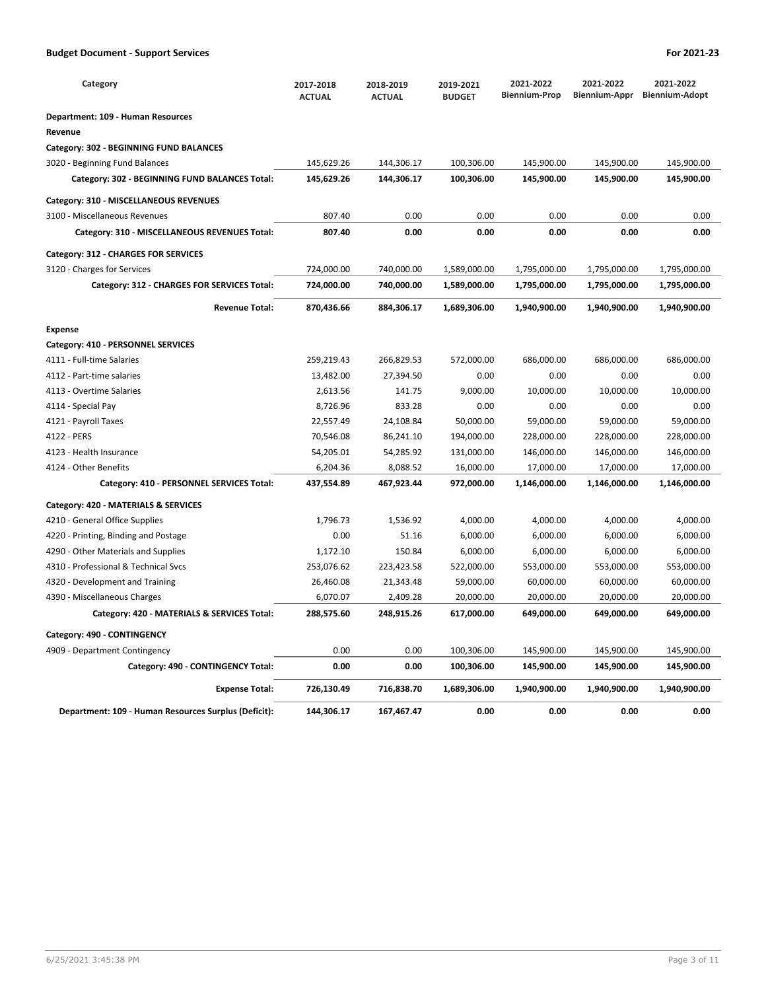| Category                                             | 2017-2018<br><b>ACTUAL</b> | 2018-2019<br><b>ACTUAL</b> | 2019-2021<br><b>BUDGET</b> | 2021-2022<br><b>Biennium-Prop</b> | 2021-2022<br>Biennium-Appr | 2021-2022<br><b>Biennium-Adopt</b> |
|------------------------------------------------------|----------------------------|----------------------------|----------------------------|-----------------------------------|----------------------------|------------------------------------|
| Department: 109 - Human Resources                    |                            |                            |                            |                                   |                            |                                    |
| Revenue                                              |                            |                            |                            |                                   |                            |                                    |
| Category: 302 - BEGINNING FUND BALANCES              |                            |                            |                            |                                   |                            |                                    |
| 3020 - Beginning Fund Balances                       | 145,629.26                 | 144,306.17                 | 100,306.00                 | 145,900.00                        | 145,900.00                 | 145,900.00                         |
| Category: 302 - BEGINNING FUND BALANCES Total:       | 145,629.26                 | 144,306.17                 | 100,306.00                 | 145,900.00                        | 145,900.00                 | 145,900.00                         |
| Category: 310 - MISCELLANEOUS REVENUES               |                            |                            |                            |                                   |                            |                                    |
| 3100 - Miscellaneous Revenues                        | 807.40                     | 0.00                       | 0.00                       | 0.00                              | 0.00                       | 0.00                               |
| Category: 310 - MISCELLANEOUS REVENUES Total:        | 807.40                     | 0.00                       | 0.00                       | 0.00                              | 0.00                       | 0.00                               |
| Category: 312 - CHARGES FOR SERVICES                 |                            |                            |                            |                                   |                            |                                    |
| 3120 - Charges for Services                          | 724,000.00                 | 740,000.00                 | 1,589,000.00               | 1,795,000.00                      | 1,795,000.00               | 1,795,000.00                       |
| Category: 312 - CHARGES FOR SERVICES Total:          | 724,000.00                 | 740,000.00                 | 1,589,000.00               | 1,795,000.00                      | 1,795,000.00               | 1,795,000.00                       |
| <b>Revenue Total:</b>                                | 870,436.66                 | 884,306.17                 | 1,689,306.00               | 1,940,900.00                      | 1,940,900.00               | 1,940,900.00                       |
| <b>Expense</b>                                       |                            |                            |                            |                                   |                            |                                    |
| Category: 410 - PERSONNEL SERVICES                   |                            |                            |                            |                                   |                            |                                    |
| 4111 - Full-time Salaries                            | 259,219.43                 | 266,829.53                 | 572,000.00                 | 686,000.00                        | 686,000.00                 | 686,000.00                         |
| 4112 - Part-time salaries                            | 13,482.00                  | 27,394.50                  | 0.00                       | 0.00                              | 0.00                       | 0.00                               |
| 4113 - Overtime Salaries                             | 2,613.56                   | 141.75                     | 9,000.00                   | 10,000.00                         | 10,000.00                  | 10,000.00                          |
| 4114 - Special Pay                                   | 8,726.96                   | 833.28                     | 0.00                       | 0.00                              | 0.00                       | 0.00                               |
| 4121 - Payroll Taxes                                 | 22,557.49                  | 24,108.84                  | 50,000.00                  | 59,000.00                         | 59,000.00                  | 59,000.00                          |
| 4122 - PERS                                          | 70,546.08                  | 86,241.10                  | 194,000.00                 | 228,000.00                        | 228,000.00                 | 228,000.00                         |
| 4123 - Health Insurance                              | 54,205.01                  | 54,285.92                  | 131,000.00                 | 146,000.00                        | 146,000.00                 | 146,000.00                         |
| 4124 - Other Benefits                                | 6,204.36                   | 8,088.52                   | 16,000.00                  | 17,000.00                         | 17,000.00                  | 17,000.00                          |
| Category: 410 - PERSONNEL SERVICES Total:            | 437,554.89                 | 467,923.44                 | 972,000.00                 | 1,146,000.00                      | 1,146,000.00               | 1,146,000.00                       |
| Category: 420 - MATERIALS & SERVICES                 |                            |                            |                            |                                   |                            |                                    |
| 4210 - General Office Supplies                       | 1,796.73                   | 1,536.92                   | 4,000.00                   | 4,000.00                          | 4,000.00                   | 4,000.00                           |
| 4220 - Printing, Binding and Postage                 | 0.00                       | 51.16                      | 6,000.00                   | 6,000.00                          | 6,000.00                   | 6,000.00                           |
| 4290 - Other Materials and Supplies                  | 1,172.10                   | 150.84                     | 6,000.00                   | 6,000.00                          | 6,000.00                   | 6,000.00                           |
| 4310 - Professional & Technical Svcs                 | 253,076.62                 | 223,423.58                 | 522,000.00                 | 553,000.00                        | 553,000.00                 | 553,000.00                         |
| 4320 - Development and Training                      | 26,460.08                  | 21,343.48                  | 59,000.00                  | 60,000.00                         | 60,000.00                  | 60,000.00                          |
| 4390 - Miscellaneous Charges                         | 6,070.07                   | 2,409.28                   | 20,000.00                  | 20,000.00                         | 20,000.00                  | 20,000.00                          |
| Category: 420 - MATERIALS & SERVICES Total:          | 288,575.60                 | 248,915.26                 | 617,000.00                 | 649,000.00                        | 649,000.00                 | 649,000.00                         |
| Category: 490 - CONTINGENCY                          |                            |                            |                            |                                   |                            |                                    |
| 4909 - Department Contingency                        | 0.00                       | 0.00                       | 100,306.00                 | 145,900.00                        | 145,900.00                 | 145,900.00                         |
| Category: 490 - CONTINGENCY Total:                   | 0.00                       | 0.00                       | 100,306.00                 | 145,900.00                        | 145,900.00                 | 145,900.00                         |
| <b>Expense Total:</b>                                | 726,130.49                 | 716,838.70                 | 1,689,306.00               | 1,940,900.00                      | 1,940,900.00               | 1,940,900.00                       |
| Department: 109 - Human Resources Surplus (Deficit): | 144,306.17                 | 167,467.47                 | 0.00                       | 0.00                              | 0.00                       | 0.00                               |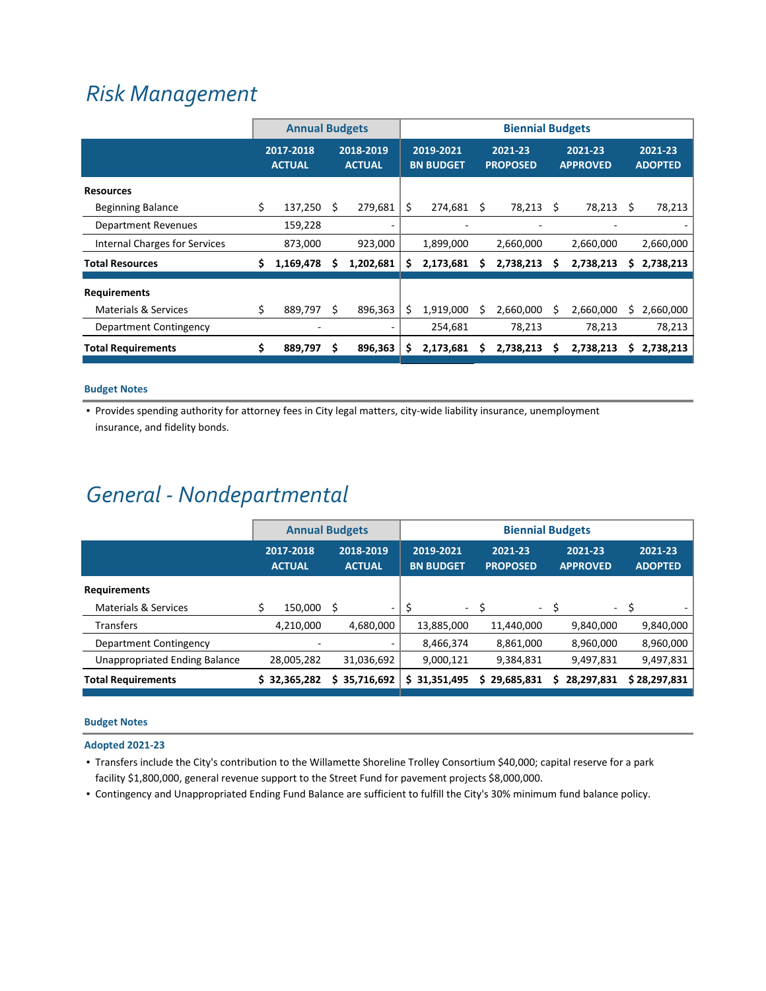## *Risk [Management](https://www.ci.oswego.or.us/hr/risk-management)*

|                                 | <b>Annual Budgets</b>      |           |                            |           | <b>Biennial Budgets</b> |                               |   |                            |                            |           |    |                           |
|---------------------------------|----------------------------|-----------|----------------------------|-----------|-------------------------|-------------------------------|---|----------------------------|----------------------------|-----------|----|---------------------------|
|                                 | 2017-2018<br><b>ACTUAL</b> |           | 2018-2019<br><b>ACTUAL</b> |           |                         | 2019-2021<br><b>BN BUDGET</b> |   | 2021-23<br><b>PROPOSED</b> | 2021-23<br><b>APPROVED</b> |           |    | 2021-23<br><b>ADOPTED</b> |
| <b>Resources</b>                |                            |           |                            |           |                         |                               |   |                            |                            |           |    |                           |
| <b>Beginning Balance</b>        | \$                         | 137,250   | Ś                          | 279,681   | \$                      | 274,681 \$                    |   | 78,213 \$                  |                            | 78,213    | S  | 78,213                    |
| Department Revenues             |                            | 159,228   |                            |           |                         |                               |   |                            |                            |           |    |                           |
| Internal Charges for Services   |                            | 873,000   |                            | 923,000   |                         | 1,899,000                     |   | 2,660,000                  |                            | 2,660,000 |    | 2,660,000                 |
| <b>Total Resources</b>          |                            | 1,169,478 | S                          | 1,202,681 | \$                      | 2,173,681                     | s | 2,738,213                  | s                          | 2,738,213 | \$ | 2,738,213                 |
| <b>Requirements</b>             |                            |           |                            |           |                         |                               |   |                            |                            |           |    |                           |
| <b>Materials &amp; Services</b> | \$                         | 889,797   | S                          | 896.363   | S                       | 1,919,000                     |   | 2,660,000                  | S                          | 2,660,000 | S  | 2,660,000                 |
| Department Contingency          |                            |           |                            |           |                         | 254,681                       |   | 78,213                     |                            | 78,213    |    | 78,213                    |
| <b>Total Requirements</b>       | \$                         | 889,797   | Ś                          | 896,363   | \$                      | 2,173,681                     | S | 2,738,213                  | S                          | 2,738,213 | S. | 2,738,213                 |

## **Budget Notes**

▪ Provides spending authority for attorney fees in City legal matters, city‐wide liability insurance, unemployment insurance, and fidelity bonds.

## *General ‐ Nondepartmental*

|                                      | <b>Annual Budgets</b>      |              |                            |    | <b>Biennial Budgets</b>       |                            |            |                            |            |                           |  |  |
|--------------------------------------|----------------------------|--------------|----------------------------|----|-------------------------------|----------------------------|------------|----------------------------|------------|---------------------------|--|--|
|                                      | 2017-2018<br><b>ACTUAL</b> |              | 2018-2019<br><b>ACTUAL</b> |    | 2019-2021<br><b>BN BUDGET</b> | 2021-23<br><b>PROPOSED</b> |            | 2021-23<br><b>APPROVED</b> |            | 2021-23<br><b>ADOPTED</b> |  |  |
| <b>Requirements</b>                  |                            |              |                            |    |                               |                            |            |                            |            |                           |  |  |
| <b>Materials &amp; Services</b>      |                            | 150,000 \$   | -                          | \$ | ۰.                            | S                          | $\sim$ $-$ | -Ś                         | - S        |                           |  |  |
| <b>Transfers</b>                     |                            | 4,210,000    | 4,680,000                  |    | 13,885,000                    | 11,440,000                 |            |                            | 9,840,000  | 9,840,000                 |  |  |
| Department Contingency               |                            |              |                            |    | 8,466,374                     |                            | 8,861,000  |                            | 8,960,000  | 8,960,000                 |  |  |
| <b>Unappropriated Ending Balance</b> |                            | 28,005,282   | 31,036,692                 |    | 9,000,121                     |                            | 9,384,831  |                            | 9,497,831  | 9,497,831                 |  |  |
| <b>Total Requirements</b>            |                            | \$32,365,282 | 35,716,692<br>S.           | S. | 31,351,495                    | 29,685,831<br>S.           |            |                            | 28,297,831 | \$28,297,831              |  |  |

## **Budget Notes**

**Adopted 2021‐23**

▪ Transfers include the City's contribution to the Willamette Shoreline Trolley Consortium \$40,000; capital reserve for a park facility \$1,800,000, general revenue support to the Street Fund for pavement projects \$8,000,000.

▪ Contingency and Unappropriated Ending Fund Balance are sufficient to fulfill the City's 30% minimum fund balance policy.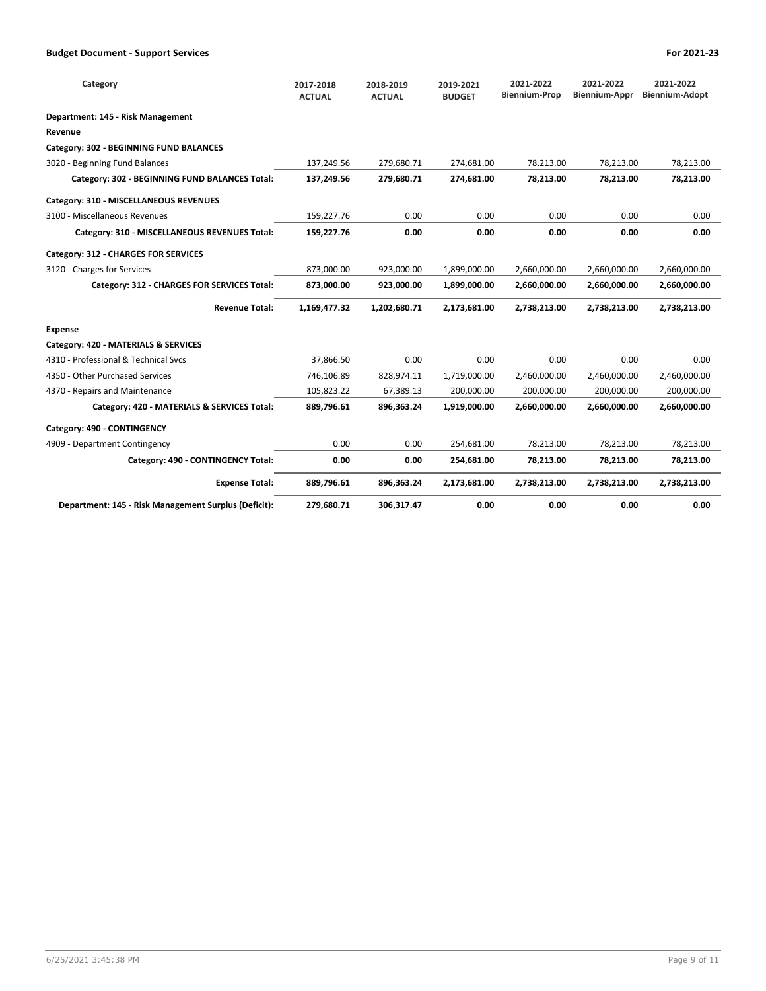| Category                                             | 2017-2018<br><b>ACTUAL</b> | 2018-2019<br><b>ACTUAL</b> | 2019-2021<br><b>BUDGET</b> | 2021-2022<br><b>Biennium-Prop</b> | 2021-2022<br><b>Biennium-Appr</b> | 2021-2022<br><b>Biennium-Adopt</b> |
|------------------------------------------------------|----------------------------|----------------------------|----------------------------|-----------------------------------|-----------------------------------|------------------------------------|
| Department: 145 - Risk Management                    |                            |                            |                            |                                   |                                   |                                    |
| Revenue                                              |                            |                            |                            |                                   |                                   |                                    |
| Category: 302 - BEGINNING FUND BALANCES              |                            |                            |                            |                                   |                                   |                                    |
| 3020 - Beginning Fund Balances                       | 137,249.56                 | 279,680.71                 | 274,681.00                 | 78,213.00                         | 78,213.00                         | 78,213.00                          |
| Category: 302 - BEGINNING FUND BALANCES Total:       | 137,249.56                 | 279,680.71                 | 274,681.00                 | 78,213.00                         | 78,213.00                         | 78,213.00                          |
| Category: 310 - MISCELLANEOUS REVENUES               |                            |                            |                            |                                   |                                   |                                    |
| 3100 - Miscellaneous Revenues                        | 159,227.76                 | 0.00                       | 0.00                       | 0.00                              | 0.00                              | 0.00                               |
| Category: 310 - MISCELLANEOUS REVENUES Total:        | 159,227.76                 | 0.00                       | 0.00                       | 0.00                              | 0.00                              | 0.00                               |
| Category: 312 - CHARGES FOR SERVICES                 |                            |                            |                            |                                   |                                   |                                    |
| 3120 - Charges for Services                          | 873,000.00                 | 923,000.00                 | 1,899,000.00               | 2,660,000.00                      | 2,660,000.00                      | 2,660,000.00                       |
| Category: 312 - CHARGES FOR SERVICES Total:          | 873,000.00                 | 923,000.00                 | 1,899,000.00               | 2,660,000.00                      | 2,660,000.00                      | 2,660,000.00                       |
| <b>Revenue Total:</b>                                | 1,169,477.32               | 1,202,680.71               | 2,173,681.00               | 2,738,213.00                      | 2,738,213.00                      | 2,738,213.00                       |
| <b>Expense</b>                                       |                            |                            |                            |                                   |                                   |                                    |
| Category: 420 - MATERIALS & SERVICES                 |                            |                            |                            |                                   |                                   |                                    |
| 4310 - Professional & Technical Sycs                 | 37,866.50                  | 0.00                       | 0.00                       | 0.00                              | 0.00                              | 0.00                               |
| 4350 - Other Purchased Services                      | 746,106.89                 | 828,974.11                 | 1,719,000.00               | 2,460,000.00                      | 2,460,000.00                      | 2,460,000.00                       |
| 4370 - Repairs and Maintenance                       | 105,823.22                 | 67,389.13                  | 200,000.00                 | 200,000.00                        | 200,000.00                        | 200,000.00                         |
| Category: 420 - MATERIALS & SERVICES Total:          | 889,796.61                 | 896,363.24                 | 1,919,000.00               | 2,660,000.00                      | 2,660,000.00                      | 2,660,000.00                       |
| Category: 490 - CONTINGENCY                          |                            |                            |                            |                                   |                                   |                                    |
| 4909 - Department Contingency                        | 0.00                       | 0.00                       | 254,681.00                 | 78,213.00                         | 78,213.00                         | 78,213.00                          |
| Category: 490 - CONTINGENCY Total:                   | 0.00                       | 0.00                       | 254,681.00                 | 78,213.00                         | 78,213.00                         | 78,213.00                          |
| <b>Expense Total:</b>                                | 889,796.61                 | 896,363.24                 | 2,173,681.00               | 2,738,213.00                      | 2,738,213.00                      | 2,738,213.00                       |
| Department: 145 - Risk Management Surplus (Deficit): | 279,680.71                 | 306,317.47                 | 0.00                       | 0.00                              | 0.00                              | 0.00                               |